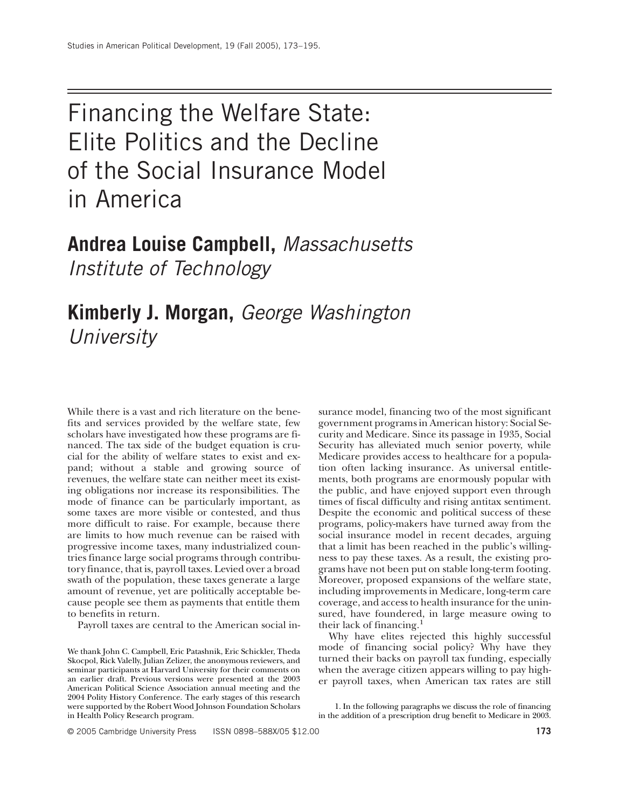# Financing the Welfare State: Elite Politics and the Decline of the Social Insurance Model in America

## **Andrea Louise Campbell,** Massachusetts Institute of Technology

## **Kimberly J. Morgan,** George Washington **University**

While there is a vast and rich literature on the benefits and services provided by the welfare state, few scholars have investigated how these programs are financed. The tax side of the budget equation is crucial for the ability of welfare states to exist and expand; without a stable and growing source of revenues, the welfare state can neither meet its existing obligations nor increase its responsibilities. The mode of finance can be particularly important, as some taxes are more visible or contested, and thus more difficult to raise. For example, because there are limits to how much revenue can be raised with progressive income taxes, many industrialized countries finance large social programs through contributory finance, that is, payroll taxes. Levied over a broad swath of the population, these taxes generate a large amount of revenue, yet are politically acceptable because people see them as payments that entitle them to benefits in return.

Payroll taxes are central to the American social in-

surance model, financing two of the most significant government programs in American history: Social Security and Medicare. Since its passage in 1935, Social Security has alleviated much senior poverty, while Medicare provides access to healthcare for a population often lacking insurance. As universal entitlements, both programs are enormously popular with the public, and have enjoyed support even through times of fiscal difficulty and rising antitax sentiment. Despite the economic and political success of these programs, policy-makers have turned away from the social insurance model in recent decades, arguing that a limit has been reached in the public's willingness to pay these taxes. As a result, the existing programs have not been put on stable long-term footing. Moreover, proposed expansions of the welfare state, including improvements in Medicare, long-term care coverage, and access to health insurance for the uninsured, have foundered, in large measure owing to their lack of financing.<sup>1</sup>

Why have elites rejected this highly successful mode of financing social policy? Why have they turned their backs on payroll tax funding, especially when the average citizen appears willing to pay higher payroll taxes, when American tax rates are still

We thank John C. Campbell, Eric Patashnik, Eric Schickler, Theda Skocpol, Rick Valelly, Julian Zelizer, the anonymous reviewers, and seminar participants at Harvard University for their comments on an earlier draft. Previous versions were presented at the 2003 American Political Science Association annual meeting and the 2004 Polity History Conference. The early stages of this research were supported by the Robert Wood Johnson Foundation Scholars in Health Policy Research program.

<sup>1.</sup> In the following paragraphs we discuss the role of financing in the addition of a prescription drug benefit to Medicare in 2003.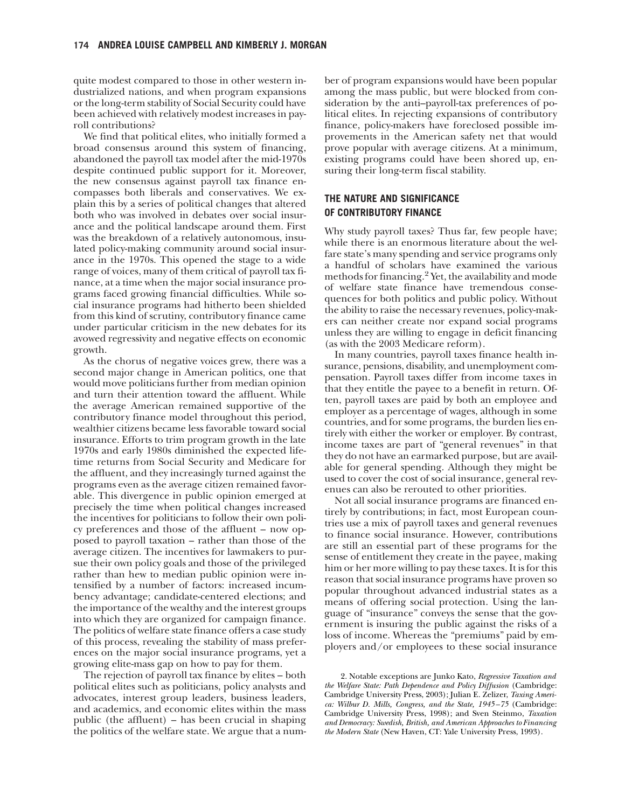quite modest compared to those in other western industrialized nations, and when program expansions or the long-term stability of Social Security could have been achieved with relatively modest increases in payroll contributions?

We find that political elites, who initially formed a broad consensus around this system of financing, abandoned the payroll tax model after the mid-1970s despite continued public support for it. Moreover, the new consensus against payroll tax finance encompasses both liberals and conservatives. We explain this by a series of political changes that altered both who was involved in debates over social insurance and the political landscape around them. First was the breakdown of a relatively autonomous, insulated policy-making community around social insurance in the 1970s. This opened the stage to a wide range of voices, many of them critical of payroll tax finance, at a time when the major social insurance programs faced growing financial difficulties. While social insurance programs had hitherto been shielded from this kind of scrutiny, contributory finance came under particular criticism in the new debates for its avowed regressivity and negative effects on economic growth.

As the chorus of negative voices grew, there was a second major change in American politics, one that would move politicians further from median opinion and turn their attention toward the affluent. While the average American remained supportive of the contributory finance model throughout this period, wealthier citizens became less favorable toward social insurance. Efforts to trim program growth in the late 1970s and early 1980s diminished the expected lifetime returns from Social Security and Medicare for the affluent, and they increasingly turned against the programs even as the average citizen remained favorable. This divergence in public opinion emerged at precisely the time when political changes increased the incentives for politicians to follow their own policy preferences and those of the affluent – now opposed to payroll taxation – rather than those of the average citizen. The incentives for lawmakers to pursue their own policy goals and those of the privileged rather than hew to median public opinion were intensified by a number of factors: increased incumbency advantage; candidate-centered elections; and the importance of the wealthy and the interest groups into which they are organized for campaign finance. The politics of welfare state finance offers a case study of this process, revealing the stability of mass preferences on the major social insurance programs, yet a growing elite-mass gap on how to pay for them.

The rejection of payroll tax finance by elites – both political elites such as politicians, policy analysts and advocates, interest group leaders, business leaders, and academics, and economic elites within the mass public (the affluent) – has been crucial in shaping the politics of the welfare state. We argue that a num-

ber of program expansions would have been popular among the mass public, but were blocked from consideration by the anti–payroll-tax preferences of political elites. In rejecting expansions of contributory finance, policy-makers have foreclosed possible improvements in the American safety net that would prove popular with average citizens. At a minimum, existing programs could have been shored up, ensuring their long-term fiscal stability.

## **THE NATURE AND SIGNIFICANCE OF CONTRIBUTORY FINANCE**

Why study payroll taxes? Thus far, few people have; while there is an enormous literature about the welfare state's many spending and service programs only a handful of scholars have examined the various methods for financing.<sup>2</sup> Yet, the availability and mode of welfare state finance have tremendous consequences for both politics and public policy. Without the ability to raise the necessary revenues, policy-makers can neither create nor expand social programs unless they are willing to engage in deficit financing (as with the 2003 Medicare reform).

In many countries, payroll taxes finance health insurance, pensions, disability, and unemployment compensation. Payroll taxes differ from income taxes in that they entitle the payee to a benefit in return. Often, payroll taxes are paid by both an employee and employer as a percentage of wages, although in some countries, and for some programs, the burden lies entirely with either the worker or employer. By contrast, income taxes are part of "general revenues" in that they do not have an earmarked purpose, but are available for general spending. Although they might be used to cover the cost of social insurance, general revenues can also be rerouted to other priorities.

Not all social insurance programs are financed entirely by contributions; in fact, most European countries use a mix of payroll taxes and general revenues to finance social insurance. However, contributions are still an essential part of these programs for the sense of entitlement they create in the payee, making him or her more willing to pay these taxes. It is for this reason that social insurance programs have proven so popular throughout advanced industrial states as a means of offering social protection. Using the language of "insurance" conveys the sense that the government is insuring the public against the risks of a loss of income. Whereas the "premiums" paid by employers and/or employees to these social insurance

<sup>2.</sup> Notable exceptions are Junko Kato, *Regressive Taxation and the Welfare State: Path Dependence and Policy Diffusion* (Cambridge: Cambridge University Press, 2003); Julian E. Zelizer, *Taxing America: Wilbur D. Mills, Congress, and the State, 1945–75* (Cambridge: Cambridge University Press, 1998); and Sven Steinmo, *Taxation and Democracy: Swedish, British, and American Approaches to Financing the Modern State* (New Haven, CT: Yale University Press, 1993).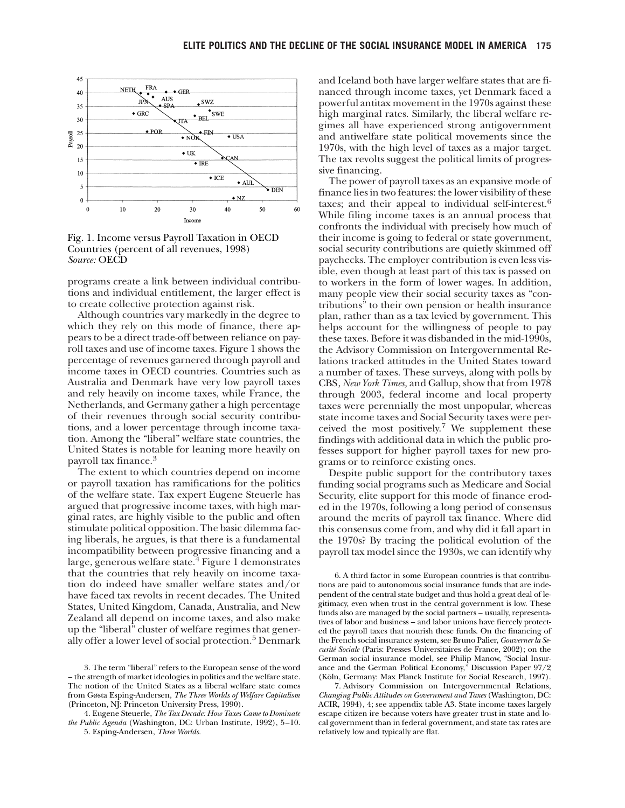

Fig. 1. Income versus Payroll Taxation in OECD Countries (percent of all revenues, 1998) *Source:* OECD

programs create a link between individual contributions and individual entitlement, the larger effect is to create collective protection against risk.

Although countries vary markedly in the degree to which they rely on this mode of finance, there appears to be a direct trade-off between reliance on payroll taxes and use of income taxes. Figure 1 shows the percentage of revenues garnered through payroll and income taxes in OECD countries. Countries such as Australia and Denmark have very low payroll taxes and rely heavily on income taxes, while France, the Netherlands, and Germany gather a high percentage of their revenues through social security contributions, and a lower percentage through income taxation. Among the "liberal" welfare state countries, the United States is notable for leaning more heavily on payroll tax finance.3

The extent to which countries depend on income or payroll taxation has ramifications for the politics of the welfare state. Tax expert Eugene Steuerle has argued that progressive income taxes, with high marginal rates, are highly visible to the public and often stimulate political opposition. The basic dilemma facing liberals, he argues, is that there is a fundamental incompatibility between progressive financing and a large, generous welfare state.<sup>4</sup> Figure 1 demonstrates that the countries that rely heavily on income taxation do indeed have smaller welfare states and/or have faced tax revolts in recent decades. The United States, United Kingdom, Canada, Australia, and New Zealand all depend on income taxes, and also make up the "liberal" cluster of welfare regimes that generally offer a lower level of social protection.<sup>5</sup> Denmark

5. Esping-Andersen, *Three Worlds.*

and Iceland both have larger welfare states that are financed through income taxes, yet Denmark faced a powerful antitax movement in the 1970s against these high marginal rates. Similarly, the liberal welfare regimes all have experienced strong antigovernment and antiwelfare state political movements since the 1970s, with the high level of taxes as a major target. The tax revolts suggest the political limits of progressive financing.

The power of payroll taxes as an expansive mode of finance lies in two features: the lower visibility of these taxes; and their appeal to individual self-interest.6 While filing income taxes is an annual process that confronts the individual with precisely how much of their income is going to federal or state government, social security contributions are quietly skimmed off paychecks. The employer contribution is even less visible, even though at least part of this tax is passed on to workers in the form of lower wages. In addition, many people view their social security taxes as "contributions" to their own pension or health insurance plan, rather than as a tax levied by government. This helps account for the willingness of people to pay these taxes. Before it was disbanded in the mid-1990s, the Advisory Commission on Intergovernmental Relations tracked attitudes in the United States toward a number of taxes. These surveys, along with polls by CBS, *New York Times,* and Gallup, show that from 1978 through 2003, federal income and local property taxes were perennially the most unpopular, whereas state income taxes and Social Security taxes were perceived the most positively.7 We supplement these findings with additional data in which the public professes support for higher payroll taxes for new programs or to reinforce existing ones.

Despite public support for the contributory taxes funding social programs such as Medicare and Social Security, elite support for this mode of finance eroded in the 1970s, following a long period of consensus around the merits of payroll tax finance. Where did this consensus come from, and why did it fall apart in the 1970s? By tracing the political evolution of the payroll tax model since the 1930s, we can identify why

7. Advisory Commission on Intergovernmental Relations, *Changing Public Attitudes on Government and Taxes* (Washington, DC: ACIR, 1994), 4; see appendix table A3. State income taxes largely escape citizen ire because voters have greater trust in state and local government than in federal government, and state tax rates are relatively low and typically are flat.

<sup>3.</sup> The term "liberal" refers to the European sense of the word – the strength of market ideologies in politics and the welfare state. The notion of the United States as a liberal welfare state comes from Gøsta Esping-Andersen, *The Three Worlds of Welfare Capitalism* (Princeton, NJ: Princeton University Press, 1990).

<sup>4.</sup> Eugene Steuerle, *The Tax Decade: How Taxes Came to Dominate the Public Agenda* (Washington, DC: Urban Institute, 1992), 5–10.

<sup>6.</sup> A third factor in some European countries is that contributions are paid to autonomous social insurance funds that are independent of the central state budget and thus hold a great deal of legitimacy, even when trust in the central government is low. These funds also are managed by the social partners – usually, representatives of labor and business – and labor unions have fiercely protected the payroll taxes that nourish these funds. On the financing of the French social insurance system, see Bruno Palier, *Gouverner la Securité Sociale* (Paris: Presses Universitaires de France, 2002); on the German social insurance model, see Philip Manow, "Social Insurance and the German Political Economy," Discussion Paper 97/2 (Köln, Germany: Max Planck Institute for Social Research, 1997).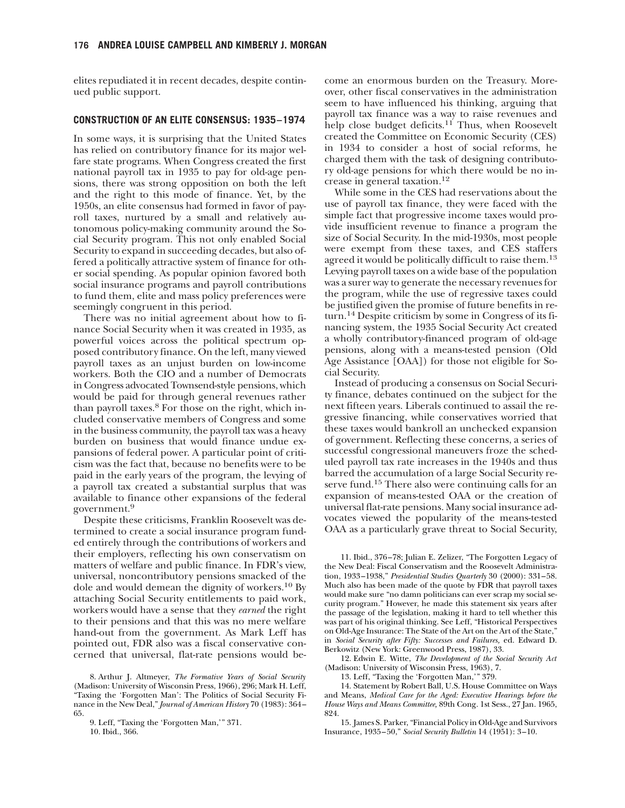elites repudiated it in recent decades, despite continued public support.

### **CONSTRUCTION OF AN ELITE CONSENSUS: 1935–1974**

In some ways, it is surprising that the United States has relied on contributory finance for its major welfare state programs. When Congress created the first national payroll tax in 1935 to pay for old-age pensions, there was strong opposition on both the left and the right to this mode of finance. Yet, by the 1950s, an elite consensus had formed in favor of payroll taxes, nurtured by a small and relatively autonomous policy-making community around the Social Security program. This not only enabled Social Security to expand in succeeding decades, but also offered a politically attractive system of finance for other social spending. As popular opinion favored both social insurance programs and payroll contributions to fund them, elite and mass policy preferences were seemingly congruent in this period.

There was no initial agreement about how to finance Social Security when it was created in 1935, as powerful voices across the political spectrum opposed contributory finance. On the left, many viewed payroll taxes as an unjust burden on low-income workers. Both the CIO and a number of Democrats in Congress advocated Townsend-style pensions, which would be paid for through general revenues rather than payroll taxes.<sup>8</sup> For those on the right, which included conservative members of Congress and some in the business community, the payroll tax was a heavy burden on business that would finance undue expansions of federal power. A particular point of criticism was the fact that, because no benefits were to be paid in the early years of the program, the levying of a payroll tax created a substantial surplus that was available to finance other expansions of the federal government.9

Despite these criticisms, Franklin Roosevelt was determined to create a social insurance program funded entirely through the contributions of workers and their employers, reflecting his own conservatism on matters of welfare and public finance. In FDR's view, universal, noncontributory pensions smacked of the dole and would demean the dignity of workers.<sup>10</sup> By attaching Social Security entitlements to paid work, workers would have a sense that they *earned* the right to their pensions and that this was no mere welfare hand-out from the government. As Mark Leff has pointed out, FDR also was a fiscal conservative concerned that universal, flat-rate pensions would be-

9. Leff, "Taxing the 'Forgotten Man,'" 371. 10. Ibid., 366.

come an enormous burden on the Treasury. Moreover, other fiscal conservatives in the administration seem to have influenced his thinking, arguing that payroll tax finance was a way to raise revenues and help close budget deficits.<sup>11</sup> Thus, when Roosevelt created the Committee on Economic Security (CES) in 1934 to consider a host of social reforms, he charged them with the task of designing contributory old-age pensions for which there would be no increase in general taxation.12

While some in the CES had reservations about the use of payroll tax finance, they were faced with the simple fact that progressive income taxes would provide insufficient revenue to finance a program the size of Social Security. In the mid-1930s, most people were exempt from these taxes, and CES staffers agreed it would be politically difficult to raise them.<sup>13</sup> Levying payroll taxes on a wide base of the population was a surer way to generate the necessary revenues for the program, while the use of regressive taxes could be justified given the promise of future benefits in return.<sup>14</sup> Despite criticism by some in Congress of its financing system, the 1935 Social Security Act created a wholly contributory-financed program of old-age pensions, along with a means-tested pension (Old Age Assistance [OAA]) for those not eligible for Social Security.

Instead of producing a consensus on Social Security finance, debates continued on the subject for the next fifteen years. Liberals continued to assail the regressive financing, while conservatives worried that these taxes would bankroll an unchecked expansion of government. Reflecting these concerns, a series of successful congressional maneuvers froze the scheduled payroll tax rate increases in the 1940s and thus barred the accumulation of a large Social Security reserve fund.<sup>15</sup> There also were continuing calls for an expansion of means-tested OAA or the creation of universal flat-rate pensions. Many social insurance advocates viewed the popularity of the means-tested OAA as a particularly grave threat to Social Security,

11. Ibid., 376–78; Julian E. Zelizer, "The Forgotten Legacy of the New Deal: Fiscal Conservatism and the Roosevelt Administration, 1933–1938," *Presidential Studies Quarterly* 30 (2000): 331–58. Much also has been made of the quote by FDR that payroll taxes would make sure "no damn politicians can ever scrap my social security program." However, he made this statement six years after the passage of the legislation, making it hard to tell whether this was part of his original thinking. See Leff, "Historical Perspectives on Old-Age Insurance: The State of the Art on the Art of the State," in *Social Security after Fifty: Successes and Failures,* ed. Edward D. Berkowitz (New York: Greenwood Press, 1987), 33.

12. Edwin E. Witte, *The Development of the Social Security Act* (Madison: University of Wisconsin Press, 1963), 7.

13. Leff, "Taxing the 'Forgotten Man,'" 379.

14. Statement by Robert Ball, U.S. House Committee on Ways and Means, *Medical Care for the Aged: Executive Hearings before the House Ways and Means Committee,* 89th Cong. 1st Sess., 27 Jan. 1965, 824.

15. James S. Parker, "Financial Policy in Old-Age and Survivors Insurance, 1935–50," *Social Security Bulletin* 14 (1951): 3–10.

<sup>8.</sup> Arthur J. Altmeyer, *The Formative Years of Social Security* (Madison: University of Wisconsin Press, 1966), 296; Mark H. Leff, "Taxing the 'Forgotten Man': The Politics of Social Security Finance in the New Deal," *Journal of American History* 70 (1983): 364– 65.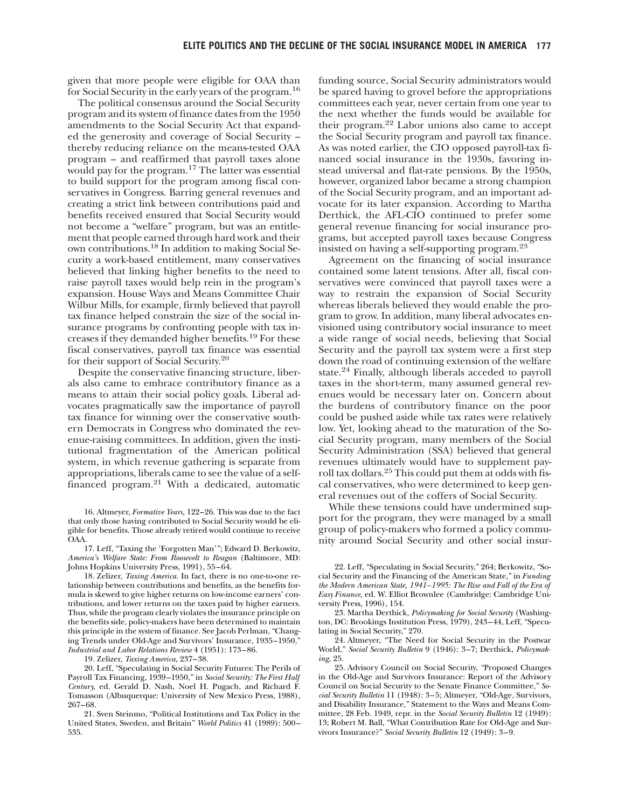given that more people were eligible for OAA than for Social Security in the early years of the program.16

The political consensus around the Social Security program and its system of finance dates from the 1950 amendments to the Social Security Act that expanded the generosity and coverage of Social Security – thereby reducing reliance on the means-tested OAA program – and reaffirmed that payroll taxes alone would pay for the program.17 The latter was essential to build support for the program among fiscal conservatives in Congress. Barring general revenues and creating a strict link between contributions paid and benefits received ensured that Social Security would not become a "welfare" program, but was an entitlement that people earned through hard work and their own contributions.18 In addition to making Social Security a work-based entitlement, many conservatives believed that linking higher benefits to the need to raise payroll taxes would help rein in the program's expansion. House Ways and Means Committee Chair Wilbur Mills, for example, firmly believed that payroll tax finance helped constrain the size of the social insurance programs by confronting people with tax increases if they demanded higher benefits.19 For these fiscal conservatives, payroll tax finance was essential for their support of Social Security.20

Despite the conservative financing structure, liberals also came to embrace contributory finance as a means to attain their social policy goals. Liberal advocates pragmatically saw the importance of payroll tax finance for winning over the conservative southern Democrats in Congress who dominated the revenue-raising committees. In addition, given the institutional fragmentation of the American political system, in which revenue gathering is separate from appropriations, liberals came to see the value of a selffinanced program.21 With a dedicated, automatic

16. Altmeyer, *Formative Years,* 122–26. This was due to the fact that only those having contributed to Social Security would be eligible for benefits. Those already retired would continue to receive OAA.

17. Leff, "Taxing the 'Forgotten Man'"; Edward D. Berkowitz, *America's Welfare State: From Roosevelt to Reagan* (Baltimore, MD: Johns Hopkins University Press, 1991), 55–64.

18. Zelizer, *Taxing America.* In fact, there is no one-to-one relationship between contributions and benefits, as the benefits formula is skewed to give higher returns on low-income earners' contributions, and lower returns on the taxes paid by higher earners. Thus, while the program clearly violates the insurance principle on the benefits side, policy-makers have been determined to maintain this principle in the system of finance. See Jacob Perlman, "Changing Trends under Old-Age and Survivors' Insurance, 1935–1950," *Industrial and Labor Relations Review* 4 (1951): 173–86.

19. Zelizer, *Taxing America,* 237–38.

20. Leff, "Speculating in Social Security Futures: The Perils of Payroll Tax Financing, 1939–1950," in *Social Security: The First Half Century,* ed. Gerald D. Nash, Noel H. Pugach, and Richard F. Tomasson (Albuquerque: University of New Mexico Press, 1988), 267–68.

21. Sven Steinmo, "Political Institutions and Tax Policy in the United States, Sweden, and Britain" *World Politics* 41 (1989): 500– 535.

funding source, Social Security administrators would be spared having to grovel before the appropriations committees each year, never certain from one year to the next whether the funds would be available for their program.22 Labor unions also came to accept the Social Security program and payroll tax finance. As was noted earlier, the CIO opposed payroll-tax financed social insurance in the 1930s, favoring instead universal and flat-rate pensions. By the 1950s, however, organized labor became a strong champion of the Social Security program, and an important advocate for its later expansion. According to Martha Derthick, the AFL-CIO continued to prefer some general revenue financing for social insurance programs, but accepted payroll taxes because Congress insisted on having a self-supporting program.23

Agreement on the financing of social insurance contained some latent tensions. After all, fiscal conservatives were convinced that payroll taxes were a way to restrain the expansion of Social Security whereas liberals believed they would enable the program to grow. In addition, many liberal advocates envisioned using contributory social insurance to meet a wide range of social needs, believing that Social Security and the payroll tax system were a first step down the road of continuing extension of the welfare state.24 Finally, although liberals acceded to payroll taxes in the short-term, many assumed general revenues would be necessary later on. Concern about the burdens of contributory finance on the poor could be pushed aside while tax rates were relatively low. Yet, looking ahead to the maturation of the Social Security program, many members of the Social Security Administration (SSA) believed that general revenues ultimately would have to supplement payroll tax dollars.<sup>25</sup> This could put them at odds with fiscal conservatives, who were determined to keep general revenues out of the coffers of Social Security.

While these tensions could have undermined support for the program, they were managed by a small group of policy-makers who formed a policy community around Social Security and other social insur-

23. Martha Derthick, *Policymaking for Social Security* (Washington, DC: Brookings Institution Press, 1979), 243–44, Leff, "Speculating in Social Security," 270.

24. Altmeyer, "The Need for Social Security in the Postwar World," *Social Security Bulletin* 9 (1946): 3–7; Derthick, *Policymaking,* 25.

25. Advisory Council on Social Security, "Proposed Changes in the Old-Age and Survivors Insurance: Report of the Advisory Council on Social Security to the Senate Finance Committee," *Social Security Bulletin* 11 (1948): 3–5; Altmeyer, "Old-Age, Survivors, and Disability Insurance," Statement to the Ways and Means Committee, 28 Feb. 1949, repr. in the *Social Security Bulletin* 12 (1949): 13; Robert M. Ball, "What Contribution Rate for Old-Age and Survivors Insurance?" *Social Security Bulletin* 12 (1949): 3–9.

<sup>22.</sup> Leff, "Speculating in Social Security," 264; Berkowitz, "Social Security and the Financing of the American State," in *Funding the Modern American State, 1941–1995: The Rise and Fall of the Era of Easy Finance,* ed. W. Elliot Brownlee (Cambridge: Cambridge University Press, 1996), 154.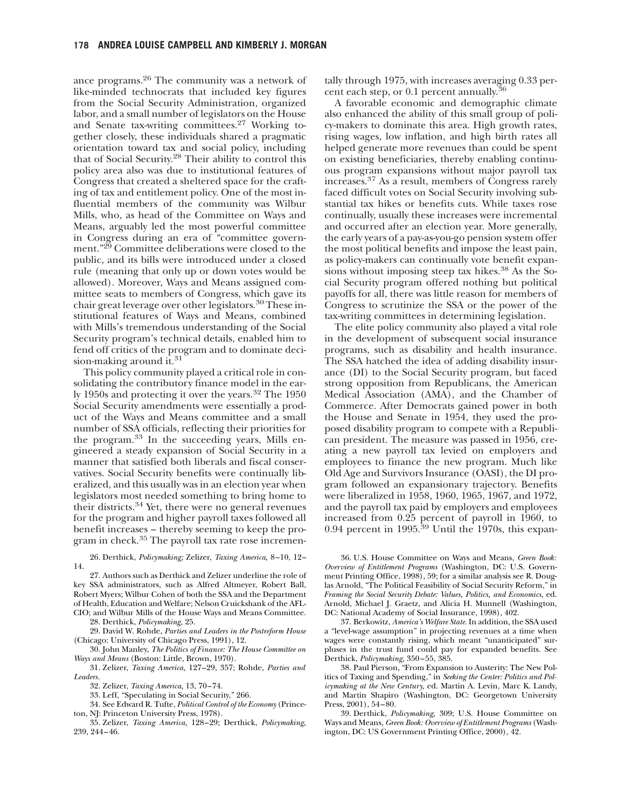ance programs.<sup>26</sup> The community was a network of like-minded technocrats that included key figures from the Social Security Administration, organized labor, and a small number of legislators on the House and Senate tax-writing committees.27 Working together closely, these individuals shared a pragmatic orientation toward tax and social policy, including that of Social Security.<sup>28</sup> Their ability to control this policy area also was due to institutional features of Congress that created a sheltered space for the crafting of tax and entitlement policy. One of the most influential members of the community was Wilbur Mills, who, as head of the Committee on Ways and Means, arguably led the most powerful committee in Congress during an era of "committee government."<sup>29</sup> Committee deliberations were closed to the public, and its bills were introduced under a closed rule (meaning that only up or down votes would be allowed). Moreover, Ways and Means assigned committee seats to members of Congress, which gave its chair great leverage over other legislators.30 These institutional features of Ways and Means, combined with Mills's tremendous understanding of the Social Security program's technical details, enabled him to fend off critics of the program and to dominate decision-making around it.<sup>31</sup>

This policy community played a critical role in consolidating the contributory finance model in the early 1950s and protecting it over the years.32 The 1950 Social Security amendments were essentially a product of the Ways and Means committee and a small number of SSA officials, reflecting their priorities for the program.33 In the succeeding years, Mills engineered a steady expansion of Social Security in a manner that satisfied both liberals and fiscal conservatives. Social Security benefits were continually liberalized, and this usually was in an election year when legislators most needed something to bring home to their districts.<sup>34</sup> Yet, there were no general revenues for the program and higher payroll taxes followed all benefit increases – thereby seeming to keep the program in check.<sup>35</sup> The payroll tax rate rose incremen-

26. Derthick, *Policymaking;* Zelizer, *Taxing America,* 8–10, 12– 14.

27. Authors such as Derthick and Zelizer underline the role of key SSA administrators, such as Alfred Altmeyer, Robert Ball, Robert Myers; Wilbur Cohen of both the SSA and the Department of Health, Education and Welfare; Nelson Cruickshank of the AFL-CIO; and Wilbur Mills of the House Ways and Means Committee. 28. Derthick, *Policymaking,* 25.

29. David W. Rohde, *Parties and Leaders in the Postreform House* (Chicago: University of Chicago Press, 1991), 12.

30. John Manley, *The Politics of Finance: The House Committee on Ways and Means* (Boston: Little, Brown, 1970).

31. Zelizer, *Taxing America,* 127–29, 357; Rohde, *Parties and Leaders.*

32. Zelizer, *Taxing America,* 13, 70–74.

33. Leff, "Speculating in Social Security," 266.

34. See Edward R. Tufte, *Political Control of the Economy* (Princeton, NJ: Princeton University Press, 1978).

35. Zelizer, *Taxing America,* 128–29; Derthick, *Policymaking,* 239, 244–46.

tally through 1975, with increases averaging 0.33 percent each step, or 0.1 percent annually.36

A favorable economic and demographic climate also enhanced the ability of this small group of policy-makers to dominate this area. High growth rates, rising wages, low inflation, and high birth rates all helped generate more revenues than could be spent on existing beneficiaries, thereby enabling continuous program expansions without major payroll tax increases.37 As a result, members of Congress rarely faced difficult votes on Social Security involving substantial tax hikes or benefits cuts. While taxes rose continually, usually these increases were incremental and occurred after an election year. More generally, the early years of a pay-as-you-go pension system offer the most political benefits and impose the least pain, as policy-makers can continually vote benefit expansions without imposing steep tax hikes.<sup>38</sup> As the Social Security program offered nothing but political payoffs for all, there was little reason for members of Congress to scrutinize the SSA or the power of the tax-writing committees in determining legislation.

The elite policy community also played a vital role in the development of subsequent social insurance programs, such as disability and health insurance. The SSA hatched the idea of adding disability insurance (DI) to the Social Security program, but faced strong opposition from Republicans, the American Medical Association (AMA), and the Chamber of Commerce. After Democrats gained power in both the House and Senate in 1954, they used the proposed disability program to compete with a Republican president. The measure was passed in 1956, creating a new payroll tax levied on employers and employees to finance the new program. Much like Old Age and Survivors Insurance (OASI), the DI program followed an expansionary trajectory. Benefits were liberalized in 1958, 1960, 1965, 1967, and 1972, and the payroll tax paid by employers and employees increased from 0.25 percent of payroll in 1960, to  $0.94$  percent in 1995.<sup>39</sup> Until the 1970s, this expan-

36. U.S. House Committee on Ways and Means, *Green Book: Overview of Entitlement Programs* (Washington, DC: U.S. Government Printing Office, 1998), 59; for a similar analysis see R. Douglas Arnold, "The Political Feasibility of Social Security Reform," in *Framing the Social Security Debate: Values, Politics, and Economics,* ed. Arnold, Michael J. Graetz, and Alicia H. Munnell (Washington, DC: National Academy of Social Insurance, 1998), 402.

37. Berkowitz, *America's Welfare State.* In addition, the SSA used a "level-wage assumption" in projecting revenues at a time when wages were constantly rising, which meant "unanticipated" surpluses in the trust fund could pay for expanded benefits. See Derthick, *Policymaking,* 350–55, 385.

38. Paul Pierson, "From Expansion to Austerity: The New Politics of Taxing and Spending," in *Seeking the Center: Politics and Policymaking at the New Century,* ed. Martin A. Levin, Marc K. Landy, and Martin Shapiro (Washington, DC: Georgetown University Press, 2001), 54–80.

39. Derthick, *Policymaking,* 309; U.S. House Committee on Ways and Means, *Green Book: Overview of Entitlement Programs* (Washington, DC: US Government Printing Office, 2000), 42.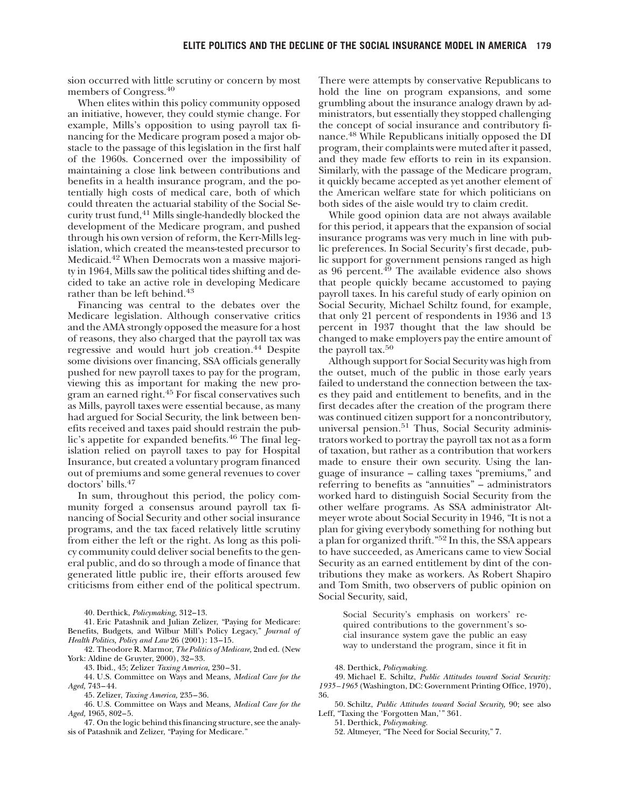sion occurred with little scrutiny or concern by most members of Congress.<sup>40</sup>

When elites within this policy community opposed an initiative, however, they could stymie change. For example, Mills's opposition to using payroll tax financing for the Medicare program posed a major obstacle to the passage of this legislation in the first half of the 1960s. Concerned over the impossibility of maintaining a close link between contributions and benefits in a health insurance program, and the potentially high costs of medical care, both of which could threaten the actuarial stability of the Social Security trust fund, $41$  Mills single-handedly blocked the development of the Medicare program, and pushed through his own version of reform, the Kerr-Mills legislation, which created the means-tested precursor to Medicaid.<sup>42</sup> When Democrats won a massive majority in 1964, Mills saw the political tides shifting and decided to take an active role in developing Medicare rather than be left behind.<sup>43</sup>

Financing was central to the debates over the Medicare legislation. Although conservative critics and the AMA strongly opposed the measure for a host of reasons, they also charged that the payroll tax was regressive and would hurt job creation.<sup>44</sup> Despite some divisions over financing, SSA officials generally pushed for new payroll taxes to pay for the program, viewing this as important for making the new program an earned right.45 For fiscal conservatives such as Mills, payroll taxes were essential because, as many had argued for Social Security, the link between benefits received and taxes paid should restrain the public's appetite for expanded benefits.<sup>46</sup> The final legislation relied on payroll taxes to pay for Hospital Insurance, but created a voluntary program financed out of premiums and some general revenues to cover doctors' bills.<sup>47</sup>

In sum, throughout this period, the policy community forged a consensus around payroll tax financing of Social Security and other social insurance programs, and the tax faced relatively little scrutiny from either the left or the right. As long as this policy community could deliver social benefits to the general public, and do so through a mode of finance that generated little public ire, their efforts aroused few criticisms from either end of the political spectrum.

40. Derthick, *Policymaking,* 312–13.

41. Eric Patashnik and Julian Zelizer, "Paying for Medicare: Benefits, Budgets, and Wilbur Mill's Policy Legacy," *Journal of Health Politics, Policy and Law* 26 (2001): 13–15.

42. Theodore R. Marmor, *The Politics of Medicare,* 2nd ed. (New York: Aldine de Gruyter, 2000), 32–33.

43. Ibid., 45; Zelizer *Taxing America,* 230–31.

44. U.S. Committee on Ways and Means, *Medical Care for the Aged,* 743–44.

45. Zelizer, *Taxing America,* 235–36.

46. U.S. Committee on Ways and Means, *Medical Care for the Aged,* 1965, 802–5.

47. On the logic behind this financing structure, see the analysis of Patashnik and Zelizer, "Paying for Medicare."

There were attempts by conservative Republicans to hold the line on program expansions, and some grumbling about the insurance analogy drawn by administrators, but essentially they stopped challenging the concept of social insurance and contributory finance.48 While Republicans initially opposed the DI program, their complaints were muted after it passed, and they made few efforts to rein in its expansion. Similarly, with the passage of the Medicare program, it quickly became accepted as yet another element of the American welfare state for which politicians on both sides of the aisle would try to claim credit.

While good opinion data are not always available for this period, it appears that the expansion of social insurance programs was very much in line with public preferences. In Social Security's first decade, public support for government pensions ranged as high as  $96$  percent. $49$  The available evidence also shows that people quickly became accustomed to paying payroll taxes. In his careful study of early opinion on Social Security, Michael Schiltz found, for example, that only 21 percent of respondents in 1936 and 13 percent in 1937 thought that the law should be changed to make employers pay the entire amount of the payroll tax.<sup>50</sup>

Although support for Social Security was high from the outset, much of the public in those early years failed to understand the connection between the taxes they paid and entitlement to benefits, and in the first decades after the creation of the program there was continued citizen support for a noncontributory, universal pension.<sup>51</sup> Thus, Social Security administrators worked to portray the payroll tax not as a form of taxation, but rather as a contribution that workers made to ensure their own security. Using the language of insurance – calling taxes "premiums," and referring to benefits as "annuities" – administrators worked hard to distinguish Social Security from the other welfare programs. As SSA administrator Altmeyer wrote about Social Security in 1946, "It is not a plan for giving everybody something for nothing but a plan for organized thrift."<sup>52</sup> In this, the SSA appears to have succeeded, as Americans came to view Social Security as an earned entitlement by dint of the contributions they make as workers. As Robert Shapiro and Tom Smith, two observers of public opinion on Social Security, said,

> Social Security's emphasis on workers' required contributions to the government's social insurance system gave the public an easy way to understand the program, since it fit in

48. Derthick, *Policymaking.*

49. Michael E. Schiltz, *Public Attitudes toward Social Security: 1935–1965* (Washington, DC: Government Printing Office, 1970), 36.

50. Schiltz, *Public Attitudes toward Social Security,* 90; see also Leff, "Taxing the 'Forgotten Man,'" 361.

51. Derthick, *Policymaking.*

52. Altmeyer, "The Need for Social Security," 7.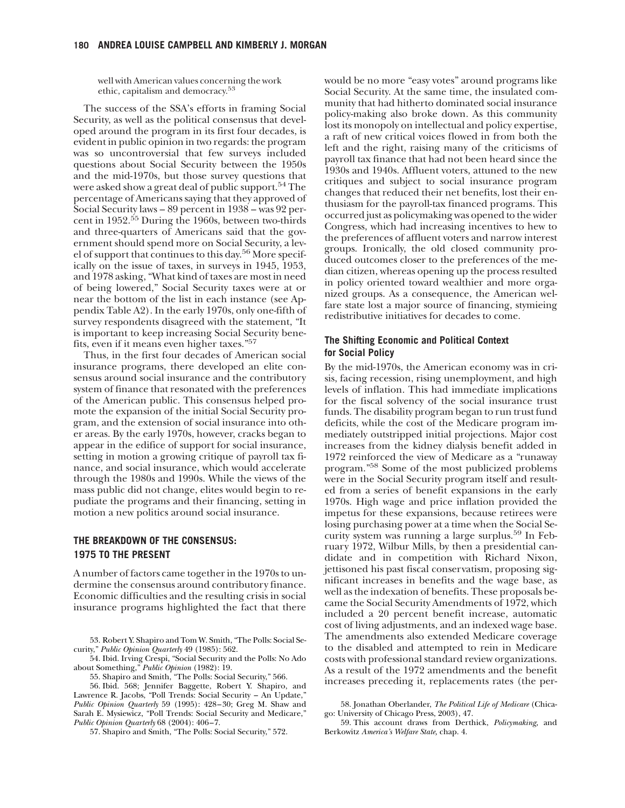well with American values concerning the work ethic, capitalism and democracy.53

The success of the SSA's efforts in framing Social Security, as well as the political consensus that developed around the program in its first four decades, is evident in public opinion in two regards: the program was so uncontroversial that few surveys included questions about Social Security between the 1950s and the mid-1970s, but those survey questions that were asked show a great deal of public support.54 The percentage of Americans saying that they approved of Social Security laws – 89 percent in 1938 – was 92 percent in 1952.<sup>55</sup> During the 1960s, between two-thirds and three-quarters of Americans said that the government should spend more on Social Security, a level of support that continues to this day.<sup>56</sup> More specifically on the issue of taxes, in surveys in 1945, 1953, and 1978 asking, "What kind of taxes are most in need of being lowered," Social Security taxes were at or near the bottom of the list in each instance (see Appendix Table A2). In the early 1970s, only one-fifth of survey respondents disagreed with the statement, "It is important to keep increasing Social Security benefits, even if it means even higher taxes."57

Thus, in the first four decades of American social insurance programs, there developed an elite consensus around social insurance and the contributory system of finance that resonated with the preferences of the American public. This consensus helped promote the expansion of the initial Social Security program, and the extension of social insurance into other areas. By the early 1970s, however, cracks began to appear in the edifice of support for social insurance, setting in motion a growing critique of payroll tax finance, and social insurance, which would accelerate through the 1980s and 1990s. While the views of the mass public did not change, elites would begin to repudiate the programs and their financing, setting in motion a new politics around social insurance.

## **THE BREAKDOWN OF THE CONSENSUS: 1975 TO THE PRESENT**

A number of factors came together in the 1970s to undermine the consensus around contributory finance. Economic difficulties and the resulting crisis in social insurance programs highlighted the fact that there

53. Robert Y. Shapiro and Tom W. Smith, "The Polls: Social Security," *Public Opinion Quarterly* 49 (1985): 562.

56. Ibid. 568; Jennifer Baggette, Robert Y. Shapiro, and Lawrence R. Jacobs, "Poll Trends: Social Security – An Update," *Public Opinion Quarterly* 59 (1995): 428–30; Greg M. Shaw and Sarah E. Mysiewicz, "Poll Trends: Social Security and Medicare," *Public Opinion Quarterly* 68 (2004): 406–7.

57. Shapiro and Smith, "The Polls: Social Security," 572.

would be no more "easy votes" around programs like Social Security. At the same time, the insulated community that had hitherto dominated social insurance policy-making also broke down. As this community lost its monopoly on intellectual and policy expertise, a raft of new critical voices flowed in from both the left and the right, raising many of the criticisms of payroll tax finance that had not been heard since the 1930s and 1940s. Affluent voters, attuned to the new critiques and subject to social insurance program changes that reduced their net benefits, lost their enthusiasm for the payroll-tax financed programs. This occurred just as policymaking was opened to the wider Congress, which had increasing incentives to hew to the preferences of affluent voters and narrow interest groups. Ironically, the old closed community produced outcomes closer to the preferences of the median citizen, whereas opening up the process resulted in policy oriented toward wealthier and more organized groups. As a consequence, the American welfare state lost a major source of financing, stymieing redistributive initiatives for decades to come.

## **The Shifting Economic and Political Context for Social Policy**

By the mid-1970s, the American economy was in crisis, facing recession, rising unemployment, and high levels of inflation. This had immediate implications for the fiscal solvency of the social insurance trust funds. The disability program began to run trust fund deficits, while the cost of the Medicare program immediately outstripped initial projections. Major cost increases from the kidney dialysis benefit added in 1972 reinforced the view of Medicare as a "runaway program."58 Some of the most publicized problems were in the Social Security program itself and resulted from a series of benefit expansions in the early 1970s. High wage and price inflation provided the impetus for these expansions, because retirees were losing purchasing power at a time when the Social Security system was running a large surplus.<sup>59</sup> In February 1972, Wilbur Mills, by then a presidential candidate and in competition with Richard Nixon, jettisoned his past fiscal conservatism, proposing significant increases in benefits and the wage base, as well as the indexation of benefits. These proposals became the Social Security Amendments of 1972, which included a 20 percent benefit increase, automatic cost of living adjustments, and an indexed wage base. The amendments also extended Medicare coverage to the disabled and attempted to rein in Medicare costs with professional standard review organizations. As a result of the 1972 amendments and the benefit increases preceding it, replacements rates (the per-

<sup>54.</sup> Ibid. Irving Crespi, "Social Security and the Polls: No Ado about Something," *Public Opinion* (1982): 19.

<sup>55.</sup> Shapiro and Smith, "The Polls: Social Security," 566.

<sup>58.</sup> Jonathan Oberlander, *The Political Life of Medicare* (Chicago: University of Chicago Press, 2003), 47.

<sup>59.</sup> This account draws from Derthick, *Policymaking,* and Berkowitz *America's Welfare State,* chap. 4.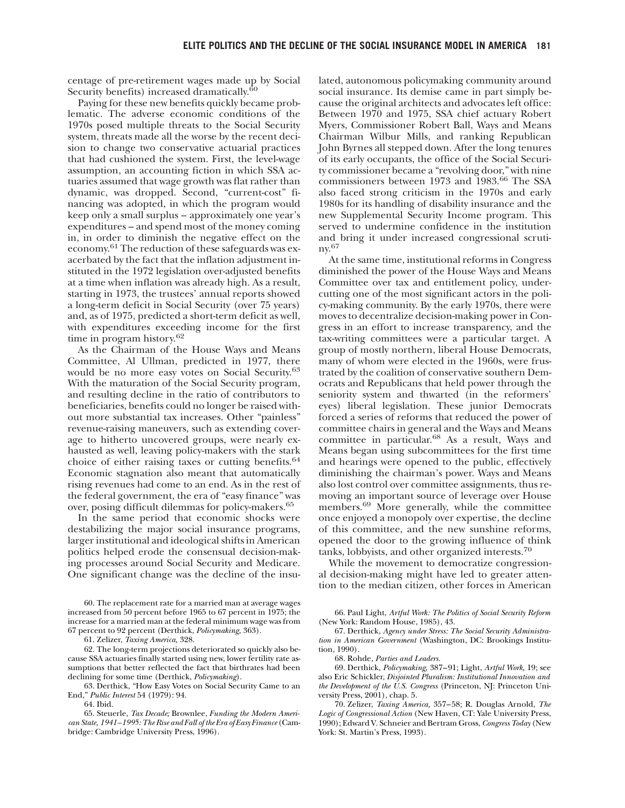centage of pre-retirement wages made up by Social Security benefits) increased dramatically.<sup>60</sup>

Paying for these new benefits quickly became problematic. The adverse economic conditions of the 1970s posed multiple threats to the Social Security system, threats made all the worse by the recent decision to change two conservative actuarial practices that had cushioned the system. First, the level-wage assumption, an accounting fiction in which SSA actuaries assumed that wage growth was flat rather than dynamic, was dropped. Second, "current-cost" financing was adopted, in which the program would keep only a small surplus – approximately one year's expenditures – and spend most of the money coming in, in order to diminish the negative effect on the economy.61 The reduction of these safeguards was exacerbated by the fact that the inflation adjustment instituted in the 1972 legislation over-adjusted benefits at a time when inflation was already high. As a result, starting in 1973, the trustees' annual reports showed a long-term deficit in Social Security (over 75 years) and, as of 1975, predicted a short-term deficit as well, with expenditures exceeding income for the first time in program history.62

As the Chairman of the House Ways and Means Committee, Al Ullman, predicted in 1977, there would be no more easy votes on Social Security.63 With the maturation of the Social Security program, and resulting decline in the ratio of contributors to beneficiaries, benefits could no longer be raised without more substantial tax increases. Other "painless" revenue-raising maneuvers, such as extending coverage to hitherto uncovered groups, were nearly exhausted as well, leaving policy-makers with the stark choice of either raising taxes or cutting benefits.<sup>64</sup> Economic stagnation also meant that automatically rising revenues had come to an end. As in the rest of the federal government, the era of "easy finance" was over, posing difficult dilemmas for policy-makers.<sup>65</sup>

In the same period that economic shocks were destabilizing the major social insurance programs, larger institutional and ideological shifts in American politics helped erode the consensual decision-making processes around Social Security and Medicare. One significant change was the decline of the insu-

60. The replacement rate for a married man at average wages increased from 50 percent before 1965 to 67 percent in 1975; the increase for a married man at the federal minimum wage was from 67 percent to 92 percent (Derthick, *Policymaking,* 363).

62. The long-term projections deteriorated so quickly also because SSA actuaries finally started using new, lower fertility rate assumptions that better reflected the fact that birthrates had been declining for some time (Derthick, *Policymaking*).

63. Derthick, "How Easy Votes on Social Security Came to an End," *Public Interest* 54 (1979): 94.

65. Steuerle, *Tax Decade;* Brownlee, *Funding the Modern American State, 1941–1995: The Rise and Fall of the Era of Easy Finance* (Cambridge: Cambridge University Press, 1996).

lated, autonomous policymaking community around social insurance. Its demise came in part simply because the original architects and advocates left office: Between 1970 and 1975, SSA chief actuary Robert Myers, Commissioner Robert Ball, Ways and Means Chairman Wilbur Mills, and ranking Republican John Byrnes all stepped down. After the long tenures of its early occupants, the office of the Social Security commissioner became a "revolving door," with nine commissioners between 1973 and 1983.<sup>66</sup> The SSA also faced strong criticism in the 1970s and early 1980s for its handling of disability insurance and the new Supplemental Security Income program. This served to undermine confidence in the institution and bring it under increased congressional scrutiny.67

At the same time, institutional reforms in Congress diminished the power of the House Ways and Means Committee over tax and entitlement policy, undercutting one of the most significant actors in the policy-making community. By the early 1970s, there were moves to decentralize decision-making power in Congress in an effort to increase transparency, and the tax-writing committees were a particular target. A group of mostly northern, liberal House Democrats, many of whom were elected in the 1960s, were frustrated by the coalition of conservative southern Democrats and Republicans that held power through the seniority system and thwarted (in the reformers' eyes) liberal legislation. These junior Democrats forced a series of reforms that reduced the power of committee chairs in general and the Ways and Means committee in particular.68 As a result, Ways and Means began using subcommittees for the first time and hearings were opened to the public, effectively diminishing the chairman's power. Ways and Means also lost control over committee assignments, thus removing an important source of leverage over House members.69 More generally, while the committee once enjoyed a monopoly over expertise, the decline of this committee, and the new sunshine reforms, opened the door to the growing influence of think tanks, lobbyists, and other organized interests.70

While the movement to democratize congressional decision-making might have led to greater attention to the median citizen, other forces in American

67. Derthick, *Agency under Stress: The Social Security Administration in American Government* (Washington, DC: Brookings Institution, 1990).

68. Rohde, *Parties and Leaders.*

69. Derthick, *Policymaking,* 387–91; Light, *Artful Work,* 19; see also Eric Schickler, *Disjointed Pluralism: Institutional Innovation and the Development of the U.S. Congress* (Princeton, NJ: Princeton University Press,  $2001$ ), chap. 5.

70. Zelizer, *Taxing America,* 357–58; R. Douglas Arnold, *The Logic of Congressional Action* (New Haven, CT: Yale University Press, 1990); Edward V. Schneier and Bertram Gross, *Congress Today* (New York: St. Martin's Press, 1993).

<sup>61.</sup> Zelizer, *Taxing America,* 328.

<sup>64.</sup> Ibid.

<sup>66.</sup> Paul Light, *Artful Work: The Politics of Social Security Reform* (New York: Random House, 1985), 43.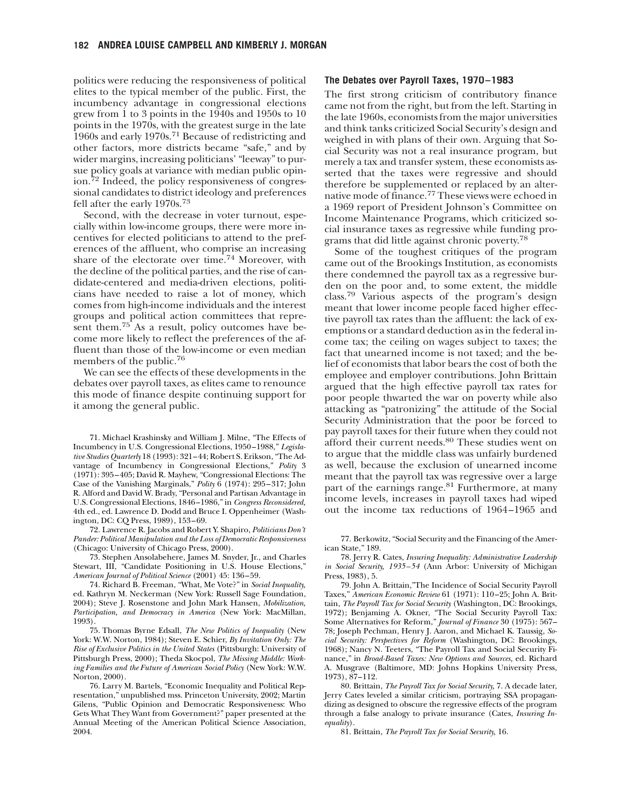politics were reducing the responsiveness of political elites to the typical member of the public. First, the incumbency advantage in congressional elections grew from 1 to 3 points in the 1940s and 1950s to 10 points in the 1970s, with the greatest surge in the late 1960s and early 1970s.<sup>71</sup> Because of redistricting and other factors, more districts became "safe," and by wider margins, increasing politicians' "leeway" to pursue policy goals at variance with median public opinion.<sup>72</sup> Indeed, the policy responsiveness of congressional candidates to district ideology and preferences fell after the early 1970s.<sup>73</sup>

Second, with the decrease in voter turnout, especially within low-income groups, there were more incentives for elected politicians to attend to the preferences of the affluent, who comprise an increasing share of the electorate over time.<sup>74</sup> Moreover, with the decline of the political parties, and the rise of candidate-centered and media-driven elections, politicians have needed to raise a lot of money, which comes from high-income individuals and the interest groups and political action committees that represent them.<sup>75</sup> As a result, policy outcomes have become more likely to reflect the preferences of the affluent than those of the low-income or even median members of the public.<sup>76</sup>

We can see the effects of these developments in the debates over payroll taxes, as elites came to renounce this mode of finance despite continuing support for it among the general public.

71. Michael Krashinsky and William J. Milne, "The Effects of Incumbency in U.S. Congressional Elections, 1950–1988," *Legislative Studies Quarterly* 18 (1993): 321–44; Robert S. Erikson, "The Advantage of Incumbency in Congressional Elections," *Polity* 3 (1971): 395–405; David R. Mayhew, "Congressional Elections: The Case of the Vanishing Marginals," *Polity* 6 (1974): 295–317; John R. Alford and David W. Brady, "Personal and Partisan Advantage in U.S. Congressional Elections, 1846–1986," in *Congress Reconsidered,* 4th ed., ed. Lawrence D. Dodd and Bruce I. Oppenheimer (Washington, DC: CQ Press, 1989), 153–69.

72. Lawrence R. Jacobs and Robert Y. Shapiro, *Politicians Don't Pander: Political Manipulation and the Loss of Democratic Responsiveness* (Chicago: University of Chicago Press, 2000).

73. Stephen Ansolabehere, James M. Snyder, Jr., and Charles Stewart, III, "Candidate Positioning in U.S. House Elections," *American Journal of Political Science* (2001) 45: 136–59.

74. Richard B. Freeman, "What, Me Vote?" in *Social Inequality,* ed. Kathryn M. Neckerman (New York: Russell Sage Foundation, 2004); Steve J. Rosenstone and John Mark Hansen, *Mobilization, Participation, and Democracy in America* (New York: MacMillan, 1993).

75. Thomas Byrne Edsall, *The New Politics of Inequality* (New York: W.W. Norton, 1984); Steven E. Schier, *By Invitation Only: The Rise of Exclusive Politics in the United States* (Pittsburgh: University of Pittsburgh Press, 2000); Theda Skocpol, *The Missing Middle: Working Families and the Future of American Social Policy* (New York: W.W. Norton, 2000).

76. Larry M. Bartels, "Economic Inequality and Political Representation," unpublished mss. Princeton University, 2002; Martin Gilens, "Public Opinion and Democratic Responsiveness: Who Gets What They Want from Government?" paper presented at the Annual Meeting of the American Political Science Association, 2004.

#### **The Debates over Payroll Taxes, 1970–1983**

The first strong criticism of contributory finance came not from the right, but from the left. Starting in the late 1960s, economists from the major universities and think tanks criticized Social Security's design and weighed in with plans of their own. Arguing that Social Security was not a real insurance program, but merely a tax and transfer system, these economists asserted that the taxes were regressive and should therefore be supplemented or replaced by an alternative mode of finance.77 These views were echoed in a 1969 report of President Johnson's Committee on Income Maintenance Programs, which criticized social insurance taxes as regressive while funding programs that did little against chronic poverty.78

Some of the toughest critiques of the program came out of the Brookings Institution, as economists there condemned the payroll tax as a regressive burden on the poor and, to some extent, the middle class.<sup>79</sup> Various aspects of the program's design meant that lower income people faced higher effective payroll tax rates than the affluent: the lack of exemptions or a standard deduction as in the federal income tax; the ceiling on wages subject to taxes; the fact that unearned income is not taxed; and the belief of economists that labor bears the cost of both the employee and employer contributions. John Brittain argued that the high effective payroll tax rates for poor people thwarted the war on poverty while also attacking as "patronizing" the attitude of the Social Security Administration that the poor be forced to pay payroll taxes for their future when they could not afford their current needs.<sup>80</sup> These studies went on to argue that the middle class was unfairly burdened as well, because the exclusion of unearned income meant that the payroll tax was regressive over a large part of the earnings range.<sup>81</sup> Furthermore, at many income levels, increases in payroll taxes had wiped out the income tax reductions of 1964–1965 and

77. Berkowitz, "Social Security and the Financing of the American State," 189.

78. Jerry R. Cates, *Insuring Inequality: Administrative Leadership in Social Security, 1935–54* (Ann Arbor: University of Michigan Press, 1983), 5.

79. John A. Brittain,"The Incidence of Social Security Payroll Taxes," *American Economic Review* 61 (1971): 110–25; John A. Brittain, *The Payroll Tax for Social Security* (Washington, DC: Brookings, 1972); Benjaming A. Okner, "The Social Security Payroll Tax: Some Alternatives for Reform," *Journal of Finance* 30 (1975): 567– 78; Joseph Pechman, Henry J. Aaron, and Michael K. Taussig, *Social Security: Perspectives for Reform* (Washington, DC: Brookings, 1968); Nancy N. Teeters, "The Payroll Tax and Social Security Finance," in *Broad-Based Taxes: New Options and Sources,* ed. Richard A. Musgrave (Baltimore, MD: Johns Hopkins University Press, 1973), 87–112.

80. Brittain, *The Payroll Tax for Social Security,* 7. A decade later, Jerry Cates leveled a similar criticism, portraying SSA propagandizing as designed to obscure the regressive effects of the program through a false analogy to private insurance (Cates, *Insuring Inequality*).

81. Brittain, *The Payroll Tax for Social Security,* 16.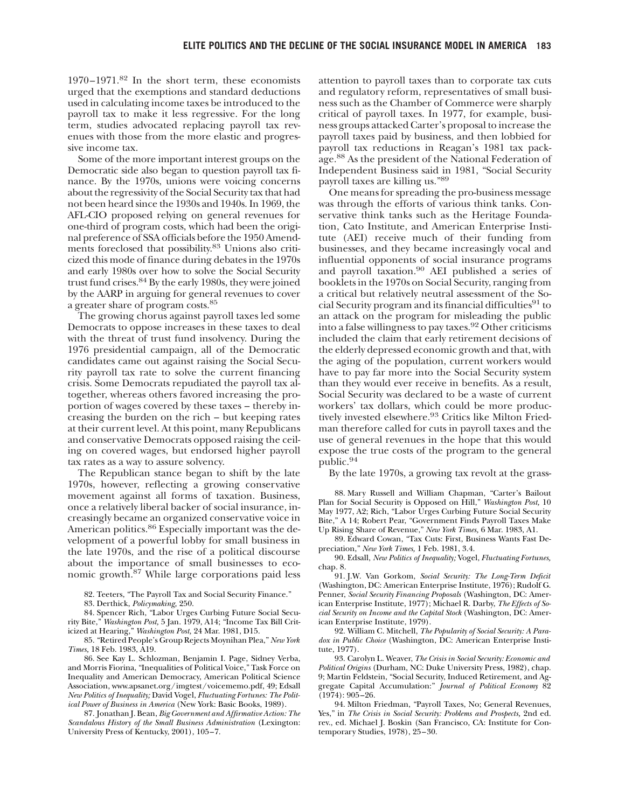$1970-1971$ .<sup>82</sup> In the short term, these economists urged that the exemptions and standard deductions used in calculating income taxes be introduced to the payroll tax to make it less regressive. For the long term, studies advocated replacing payroll tax revenues with those from the more elastic and progressive income tax.

Some of the more important interest groups on the Democratic side also began to question payroll tax finance. By the 1970s, unions were voicing concerns about the regressivity of the Social Security tax that had not been heard since the 1930s and 1940s. In 1969, the AFL-CIO proposed relying on general revenues for one-third of program costs, which had been the original preference of SSA officials before the 1950 Amendments foreclosed that possibility.83 Unions also criticized this mode of finance during debates in the 1970s and early 1980s over how to solve the Social Security trust fund crises.84 By the early 1980s, they were joined by the AARP in arguing for general revenues to cover a greater share of program costs.85

The growing chorus against payroll taxes led some Democrats to oppose increases in these taxes to deal with the threat of trust fund insolvency. During the 1976 presidential campaign, all of the Democratic candidates came out against raising the Social Security payroll tax rate to solve the current financing crisis. Some Democrats repudiated the payroll tax altogether, whereas others favored increasing the proportion of wages covered by these taxes – thereby increasing the burden on the rich – but keeping rates at their current level. At this point, many Republicans and conservative Democrats opposed raising the ceiling on covered wages, but endorsed higher payroll tax rates as a way to assure solvency.

The Republican stance began to shift by the late 1970s, however, reflecting a growing conservative movement against all forms of taxation. Business, once a relatively liberal backer of social insurance, increasingly became an organized conservative voice in American politics.<sup>86</sup> Especially important was the development of a powerful lobby for small business in the late 1970s, and the rise of a political discourse about the importance of small businesses to economic growth.87 While large corporations paid less

82. Teeters, "The Payroll Tax and Social Security Finance."

83. Derthick, *Policymaking,* 250.

84. Spencer Rich, "Labor Urges Curbing Future Social Security Bite," *Washington Post,* 5 Jan. 1979, A14; "Income Tax Bill Criticized at Hearing," *Washington Post,* 24 Mar. 1981, D15.

85. "Retired People's Group Rejects Moynihan Plea," *New York Times,* 18 Feb. 1983, A19.

86. See Kay L. Schlozman, Benjamin I. Page, Sidney Verba, and Morris Fiorina, "Inequalities of Political Voice," Task Force on Inequality and American Democracy, American Political Science Association, www.apsanet.org/imgtest/voicememo.pdf, 49; Edsall *New Politics of Inequality;* David Vogel, *Fluctuating Fortunes: The Political Power of Business in America* (New York: Basic Books, 1989).

87. Jonathan J. Bean, *Big Government and Affirmative Action: The Scandalous History of the Small Business Administration* (Lexington: University Press of Kentucky, 2001), 105–7.

attention to payroll taxes than to corporate tax cuts and regulatory reform, representatives of small business such as the Chamber of Commerce were sharply critical of payroll taxes. In 1977, for example, business groups attacked Carter's proposal to increase the payroll taxes paid by business, and then lobbied for payroll tax reductions in Reagan's 1981 tax package.<sup>88</sup> As the president of the National Federation of Independent Business said in 1981, "Social Security payroll taxes are killing us."<sup>89</sup>

One means for spreading the pro-business message was through the efforts of various think tanks. Conservative think tanks such as the Heritage Foundation, Cato Institute, and American Enterprise Institute (AEI) receive much of their funding from businesses, and they became increasingly vocal and influential opponents of social insurance programs and payroll taxation.90 AEI published a series of booklets in the 1970s on Social Security, ranging from a critical but relatively neutral assessment of the Social Security program and its financial difficulties<sup>91</sup> to an attack on the program for misleading the public into a false willingness to pay taxes.<sup>92</sup> Other criticisms included the claim that early retirement decisions of the elderly depressed economic growth and that, with the aging of the population, current workers would have to pay far more into the Social Security system than they would ever receive in benefits. As a result, Social Security was declared to be a waste of current workers' tax dollars, which could be more productively invested elsewhere.<sup>93</sup> Critics like Milton Friedman therefore called for cuts in payroll taxes and the use of general revenues in the hope that this would expose the true costs of the program to the general public.94

By the late 1970s, a growing tax revolt at the grass-

88. Mary Russell and William Chapman, "Carter's Bailout Plan for Social Security is Opposed on Hill," *Washington Post,* 10 May 1977, A2; Rich, "Labor Urges Curbing Future Social Security Bite," A 14; Robert Pear, "Government Finds Payroll Taxes Make Up Rising Share of Revenue," *New York Times,* 6 Mar. 1983, A1.

89. Edward Cowan, "Tax Cuts: First, Business Wants Fast Depreciation," *New York Times,* 1 Feb. 1981, 3.4.

90. Edsall, *New Politics of Inequality;* Vogel, *Fluctuating Fortunes,* chap. 8.

91. J.W. Van Gorkom, *Social Security: The Long-Term Deficit* (Washington, DC: American Enterprise Institute, 1976); Rudolf G. Penner, *Social Security Financing Proposals* (Washington, DC: American Enterprise Institute, 1977); Michael R. Darby, *The Effects of Social Security on Income and the Capital Stock* (Washington, DC: American Enterprise Institute, 1979).

92. William C. Mitchell, *The Popularity of Social Security: A Paradox in Public Choice* (Washington, DC: American Enterprise Institute, 1977).

93. Carolyn L. Weaver, *The Crisis in Social Security: Economic and Political Origins* (Durham, NC: Duke University Press, 1982), chap. 9; Martin Feldstein, "Social Security, Induced Retirement, and Aggregate Capital Accumulation:" *Journal of Political Economy* 82  $(1974): 905 - 26.$ 

94. Milton Friedman, "Payroll Taxes, No; General Revenues, Yes," in *The Crisis in Social Security: Problems and Prospects,* 2nd ed. rev., ed. Michael J. Boskin (San Francisco, CA: Institute for Contemporary Studies, 1978), 25–30.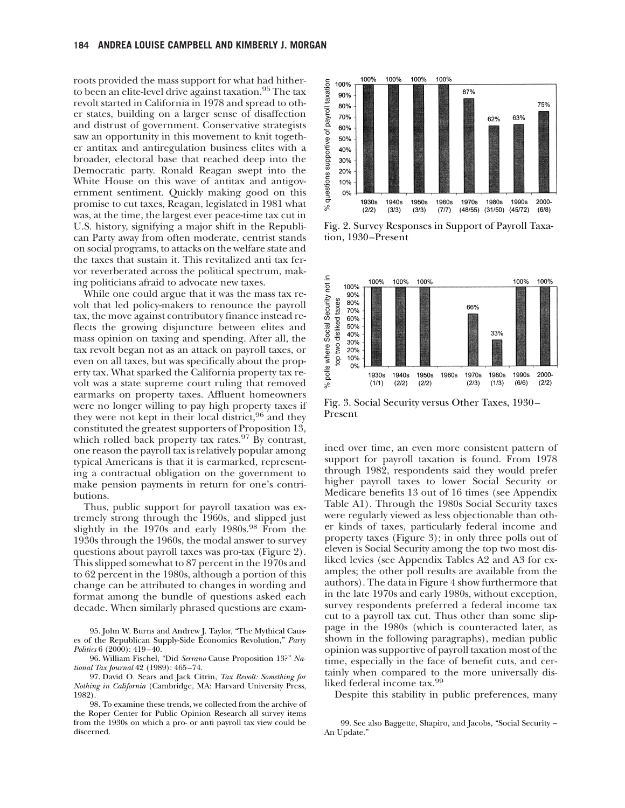#### **184 ANDREA LOUISE CAMPBELL AND KIMBERLY J. MORGAN**

roots provided the mass support for what had hitherto been an elite-level drive against taxation.<sup>95</sup> The tax revolt started in California in 1978 and spread to other states, building on a larger sense of disaffection and distrust of government. Conservative strategists saw an opportunity in this movement to knit together antitax and antiregulation business elites with a broader, electoral base that reached deep into the Democratic party. Ronald Reagan swept into the White House on this wave of antitax and antigovernment sentiment. Quickly making good on this promise to cut taxes, Reagan, legislated in 1981 what was, at the time, the largest ever peace-time tax cut in U.S. history, signifying a major shift in the Republican Party away from often moderate, centrist stands on social programs, to attacks on the welfare state and the taxes that sustain it. This revitalized anti tax fervor reverberated across the political spectrum, making politicians afraid to advocate new taxes.

While one could argue that it was the mass tax revolt that led policy-makers to renounce the payroll tax, the move against contributory finance instead reflects the growing disjuncture between elites and mass opinion on taxing and spending. After all, the tax revolt began not as an attack on payroll taxes, or even on all taxes, but was specifically about the property tax. What sparked the California property tax revolt was a state supreme court ruling that removed earmarks on property taxes. Affluent homeowners were no longer willing to pay high property taxes if they were not kept in their local district,  $96$  and they constituted the greatest supporters of Proposition 13, which rolled back property tax rates.<sup>97</sup> By contrast, one reason the payroll tax is relatively popular among typical Americans is that it is earmarked, representing a contractual obligation on the government to make pension payments in return for one's contributions.

Thus, public support for payroll taxation was extremely strong through the 1960s, and slipped just slightly in the 1970s and early 1980s.<sup>98</sup> From the 1930s through the 1960s, the modal answer to survey questions about payroll taxes was pro-tax (Figure 2). This slipped somewhat to 87 percent in the 1970s and to 62 percent in the 1980s, although a portion of this change can be attributed to changes in wording and format among the bundle of questions asked each decade. When similarly phrased questions are exam-

95. John W. Burns and Andrew J. Taylor, "The Mythical Causes of the Republican Supply-Side Economics Revolution," *Party Politics* 6 (2000): 419–40.

97. David O. Sears and Jack Citrin, *Tax Revolt: Something for Nothing in California* (Cambridge, MA: Harvard University Press, 1982).

98. To examine these trends, we collected from the archive of the Roper Center for Public Opinion Research all survey items from the 1930s on which a pro- or anti payroll tax view could be discerned.



Fig. 2. Survey Responses in Support of Payroll Taxation, 1930–Present



Fig. 3. Social Security versus Other Taxes, 1930– Present

ined over time, an even more consistent pattern of support for payroll taxation is found. From 1978 through 1982, respondents said they would prefer higher payroll taxes to lower Social Security or Medicare benefits 13 out of 16 times (see Appendix Table A1). Through the 1980s Social Security taxes were regularly viewed as less objectionable than other kinds of taxes, particularly federal income and property taxes (Figure 3); in only three polls out of eleven is Social Security among the top two most disliked levies (see Appendix Tables A2 and A3 for examples; the other poll results are available from the authors). The data in Figure 4 show furthermore that in the late 1970s and early 1980s, without exception, survey respondents preferred a federal income tax cut to a payroll tax cut. Thus other than some slippage in the 1980s (which is counteracted later, as shown in the following paragraphs), median public opinion was supportive of payroll taxation most of the time, especially in the face of benefit cuts, and certainly when compared to the more universally disliked federal income tax.99

Despite this stability in public preferences, many

<sup>96.</sup> William Fischel, "Did *Serrano* Cause Proposition 13?" *National Tax Journal* 42 (1989): 465–74.

<sup>99.</sup> See also Baggette, Shapiro, and Jacobs, "Social Security – An Update.'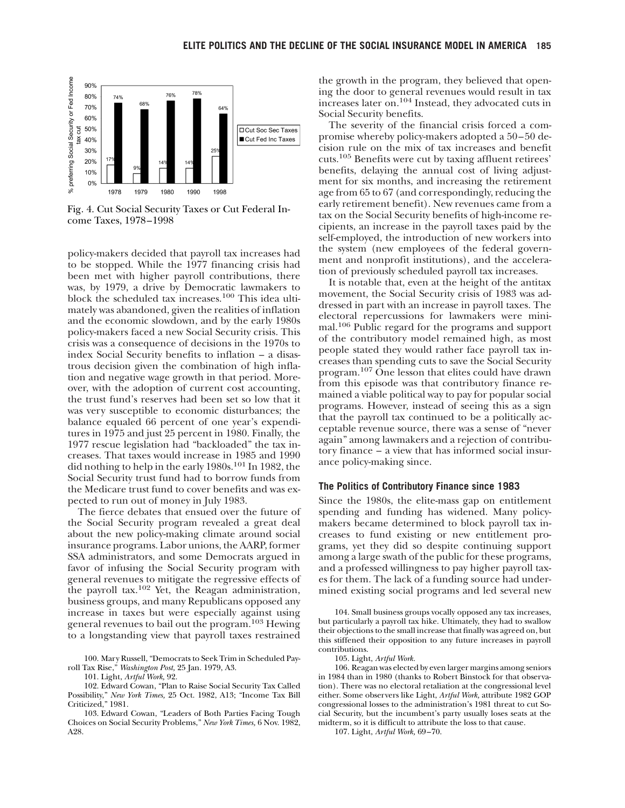

Fig. 4. Cut Social Security Taxes or Cut Federal Income Taxes, 1978–1998

policy-makers decided that payroll tax increases had to be stopped. While the 1977 financing crisis had been met with higher payroll contributions, there was, by 1979, a drive by Democratic lawmakers to block the scheduled tax increases.100 This idea ultimately was abandoned, given the realities of inflation and the economic slowdown, and by the early 1980s policy-makers faced a new Social Security crisis. This crisis was a consequence of decisions in the 1970s to index Social Security benefits to inflation – a disastrous decision given the combination of high inflation and negative wage growth in that period. Moreover, with the adoption of current cost accounting, the trust fund's reserves had been set so low that it was very susceptible to economic disturbances; the balance equaled 66 percent of one year's expenditures in 1975 and just 25 percent in 1980. Finally, the 1977 rescue legislation had "backloaded" the tax increases. That taxes would increase in 1985 and 1990 did nothing to help in the early 1980s.<sup>101</sup> In 1982, the Social Security trust fund had to borrow funds from the Medicare trust fund to cover benefits and was expected to run out of money in July 1983.

The fierce debates that ensued over the future of the Social Security program revealed a great deal about the new policy-making climate around social insurance programs. Labor unions, the AARP, former SSA administrators, and some Democrats argued in favor of infusing the Social Security program with general revenues to mitigate the regressive effects of the payroll tax.102 Yet, the Reagan administration, business groups, and many Republicans opposed any increase in taxes but were especially against using general revenues to bail out the program.103 Hewing to a longstanding view that payroll taxes restrained

the growth in the program, they believed that opening the door to general revenues would result in tax increases later on.104 Instead, they advocated cuts in Social Security benefits.

The severity of the financial crisis forced a compromise whereby policy-makers adopted a 50–50 decision rule on the mix of tax increases and benefit cuts.<sup>105</sup> Benefits were cut by taxing affluent retirees' benefits, delaying the annual cost of living adjustment for six months, and increasing the retirement age from 65 to 67 (and correspondingly, reducing the early retirement benefit). New revenues came from a tax on the Social Security benefits of high-income recipients, an increase in the payroll taxes paid by the self-employed, the introduction of new workers into the system (new employees of the federal government and nonprofit institutions), and the acceleration of previously scheduled payroll tax increases.

It is notable that, even at the height of the antitax movement, the Social Security crisis of 1983 was addressed in part with an increase in payroll taxes. The electoral repercussions for lawmakers were minimal.106 Public regard for the programs and support of the contributory model remained high, as most people stated they would rather face payroll tax increases than spending cuts to save the Social Security program.<sup>107</sup> One lesson that elites could have drawn from this episode was that contributory finance remained a viable political way to pay for popular social programs. However, instead of seeing this as a sign that the payroll tax continued to be a politically acceptable revenue source, there was a sense of "never again" among lawmakers and a rejection of contributory finance – a view that has informed social insurance policy-making since.

#### **The Politics of Contributory Finance since 1983**

Since the 1980s, the elite-mass gap on entitlement spending and funding has widened. Many policymakers became determined to block payroll tax increases to fund existing or new entitlement programs, yet they did so despite continuing support among a large swath of the public for these programs, and a professed willingness to pay higher payroll taxes for them. The lack of a funding source had undermined existing social programs and led several new

<sup>100.</sup> Mary Russell, "Democrats to Seek Trim in Scheduled Payroll Tax Rise," *Washington Post,* 25 Jan. 1979, A3.

<sup>101.</sup> Light, *Artful Work,* 92.

<sup>102.</sup> Edward Cowan, "Plan to Raise Social Security Tax Called Possibility," *New York Times,* 25 Oct. 1982, A13; "Income Tax Bill Criticized," 1981.

<sup>103.</sup> Edward Cowan, "Leaders of Both Parties Facing Tough Choices on Social Security Problems," *New York Times,* 6 Nov. 1982, A28.

<sup>104.</sup> Small business groups vocally opposed any tax increases, but particularly a payroll tax hike. Ultimately, they had to swallow their objections to the small increase that finally was agreed on, but this stiffened their opposition to any future increases in payroll contributions.

<sup>105.</sup> Light, *Artful Work.*

<sup>106.</sup> Reagan was elected by even larger margins among seniors in 1984 than in 1980 (thanks to Robert Binstock for that observation). There was no electoral retaliation at the congressional level either. Some observers like Light, *Artful Work,* attribute 1982 GOP congressional losses to the administration's 1981 threat to cut Social Security, but the incumbent's party usually loses seats at the midterm, so it is difficult to attribute the loss to that cause.

<sup>107.</sup> Light, *Artful Work,* 69–70.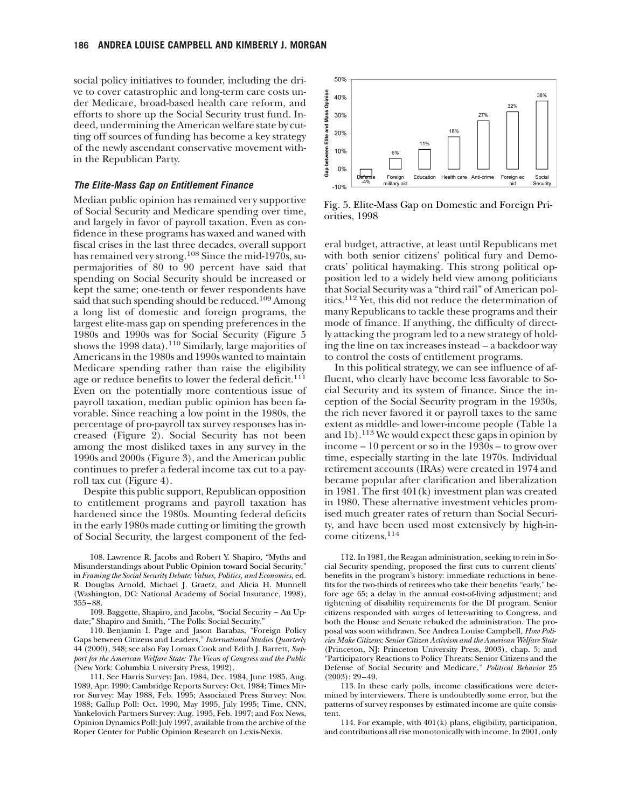social policy initiatives to founder, including the drive to cover catastrophic and long-term care costs under Medicare, broad-based health care reform, and efforts to shore up the Social Security trust fund. Indeed, undermining the American welfare state by cutting off sources of funding has become a key strategy of the newly ascendant conservative movement within the Republican Party.

#### *The Elite-Mass Gap on Entitlement Finance*

Median public opinion has remained very supportive of Social Security and Medicare spending over time, and largely in favor of payroll taxation. Even as confidence in these programs has waxed and waned with fiscal crises in the last three decades, overall support has remained very strong.<sup>108</sup> Since the mid-1970s, supermajorities of 80 to 90 percent have said that spending on Social Security should be increased or kept the same; one-tenth or fewer respondents have said that such spending should be reduced.<sup>109</sup> Among a long list of domestic and foreign programs, the largest elite-mass gap on spending preferences in the 1980s and 1990s was for Social Security (Figure 5 shows the 1998 data).<sup>110</sup> Similarly, large majorities of Americans in the 1980s and 1990s wanted to maintain Medicare spending rather than raise the eligibility age or reduce benefits to lower the federal deficit.<sup>111</sup> Even on the potentially more contentious issue of payroll taxation, median public opinion has been favorable. Since reaching a low point in the 1980s, the percentage of pro-payroll tax survey responses has increased (Figure 2). Social Security has not been among the most disliked taxes in any survey in the 1990s and 2000s (Figure 3), and the American public continues to prefer a federal income tax cut to a payroll tax cut (Figure 4).

Despite this public support, Republican opposition to entitlement programs and payroll taxation has hardened since the 1980s. Mounting federal deficits in the early 1980s made cutting or limiting the growth of Social Security, the largest component of the fed-

108. Lawrence R. Jacobs and Robert Y. Shapiro, "Myths and Misunderstandings about Public Opinion toward Social Security," in *Framing the Social Security Debate: Values, Politics, and Economics,* ed. R. Douglas Arnold, Michael J. Graetz, and Alicia H. Munnell (Washington, DC: National Academy of Social Insurance, 1998), 355–88.

109. Baggette, Shapiro, and Jacobs, "Social Security – An Update;" Shapiro and Smith, "The Polls: Social Security."

110. Benjamin I. Page and Jason Barabas, "Foreign Policy Gaps between Citizens and Leaders," *International Studies Quarterly* 44 (2000), 348; see also Fay Lomax Cook and Edith J. Barrett, *Support for the American Welfare State: The Views of Congress and the Public* (New York: Columbia University Press, 1992).

111. See Harris Survey: Jan. 1984, Dec. 1984, June 1985, Aug. 1989, Apr. 1990; Cambridge Reports Survey: Oct. 1984; Times Mirror Survey: May 1988, Feb. 1995; Associated Press Survey: Nov. 1988; Gallup Poll: Oct. 1990, May 1995, July 1995; Time, CNN, Yankelovich Partners Survey: Aug. 1995, Feb. 1997; and Fox News, Opinion Dynamics Poll: July 1997, available from the archive of the Roper Center for Public Opinion Research on Lexis-Nexis.



Fig. 5. Elite-Mass Gap on Domestic and Foreign Priorities, 1998

eral budget, attractive, at least until Republicans met with both senior citizens' political fury and Democrats' political haymaking. This strong political opposition led to a widely held view among politicians that Social Security was a "third rail" of American politics.112 Yet, this did not reduce the determination of many Republicans to tackle these programs and their mode of finance. If anything, the difficulty of directly attacking the program led to a new strategy of holding the line on tax increases instead – a backdoor way to control the costs of entitlement programs.

In this political strategy, we can see influence of affluent, who clearly have become less favorable to Social Security and its system of finance. Since the inception of the Social Security program in the 1930s, the rich never favored it or payroll taxes to the same extent as middle- and lower-income people (Table 1a and 1b).<sup>113</sup> We would expect these gaps in opinion by income – 10 percent or so in the 1930s – to grow over time, especially starting in the late 1970s. Individual retirement accounts (IRAs) were created in 1974 and became popular after clarification and liberalization in 1981. The first 401(k) investment plan was created in 1980. These alternative investment vehicles promised much greater rates of return than Social Security, and have been used most extensively by high-income citizens.114

112. In 1981, the Reagan administration, seeking to rein in Social Security spending, proposed the first cuts to current clients' benefits in the program's history: immediate reductions in benefits for the two-thirds of retirees who take their benefits "early," before age 65; a delay in the annual cost-of-living adjustment; and tightening of disability requirements for the DI program. Senior citizens responded with surges of letter-writing to Congress, and both the House and Senate rebuked the administration. The proposal was soon withdrawn. See Andrea Louise Campbell, *How Policies Make Citizens: Senior Citizen Activism and the American Welfare State* (Princeton, NJ: Princeton University Press, 2003), chap. 5; and "Participatory Reactions to Policy Threats: Senior Citizens and the Defense of Social Security and Medicare," *Political Behavior* 25 (2003): 29–49.

113. In these early polls, income classifications were determined by interviewers. There is undoubtedly some error, but the patterns of survey responses by estimated income are quite consistent.

114. For example, with 401(k) plans, eligibility, participation, and contributions all rise monotonically with income. In 2001, only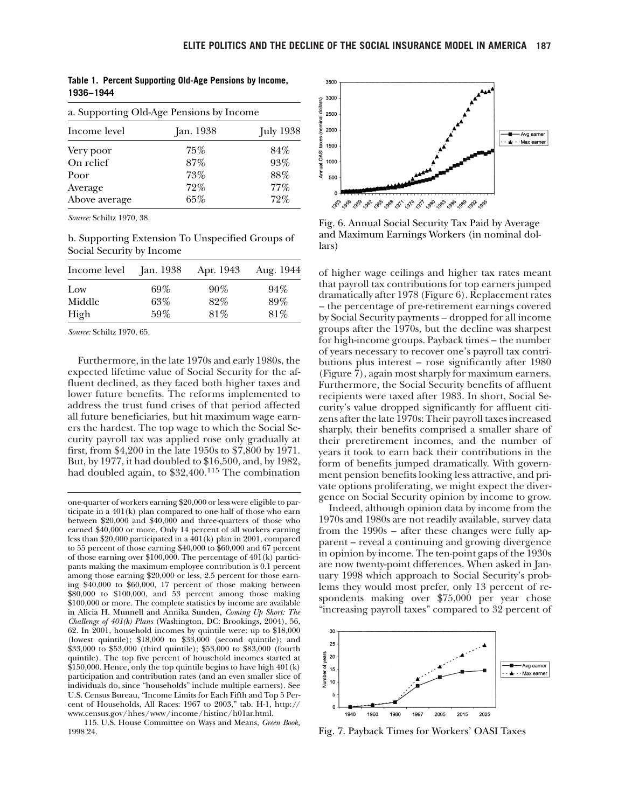| a. Supporting Old-Age Pensions by Income |           |                  |  |  |  |  |
|------------------------------------------|-----------|------------------|--|--|--|--|
| Income level                             | Jan. 1938 | <b>July 1938</b> |  |  |  |  |
| Very poor                                | 75%       | 84%              |  |  |  |  |
| On relief                                | 87%       | 93%              |  |  |  |  |
| Poor                                     | 73%       | 88%              |  |  |  |  |
| Average                                  | 72%       | 77%              |  |  |  |  |
| Above average                            | 65%       | 72%              |  |  |  |  |

**Table 1. Percent Supporting Old-Age Pensions by Income, 1936–1944**

*Source:* Schiltz 1970, 38.

b. Supporting Extension To Unspecified Groups of Social Security by Income

| Income level | Jan. 1938 | Apr. 1943 | Aug. 1944 |
|--------------|-----------|-----------|-----------|
| Low          | 69%       | 90%       | 94%       |
| Middle       | 63%       | 82%       | 89%       |
| High         | 59%       | $81\%$    | 81%       |

*Source:* Schiltz 1970, 65.

Furthermore, in the late 1970s and early 1980s, the expected lifetime value of Social Security for the affluent declined, as they faced both higher taxes and lower future benefits. The reforms implemented to address the trust fund crises of that period affected all future beneficiaries, but hit maximum wage earners the hardest. The top wage to which the Social Security payroll tax was applied rose only gradually at first, from \$4,200 in the late 1950s to \$7,800 by 1971. But, by 1977, it had doubled to \$16,500, and, by 1982, had doubled again, to \$32,400.<sup>115</sup> The combination

one-quarter of workers earning \$20,000 or less were eligible to participate in a 401(k) plan compared to one-half of those who earn between \$20,000 and \$40,000 and three-quarters of those who earned \$40,000 or more. Only 14 percent of all workers earning less than \$20,000 participated in a 401(k) plan in 2001, compared to 55 percent of those earning \$40,000 to \$60,000 and 67 percent of those earning over \$100,000. The percentage of 401(k) participants making the maximum employee contribution is 0.1 percent among those earning \$20,000 or less, 2.5 percent for those earning \$40,000 to \$60,000, 17 percent of those making between \$80,000 to \$100,000, and 53 percent among those making \$100,000 or more. The complete statistics by income are available in Alicia H. Munnell and Annika Sunden, *Coming Up Short: The Challenge of 401(k) Plans* (Washington, DC: Brookings, 2004), 56, 62. In 2001, household incomes by quintile were: up to \$18,000 (lowest quintile); \$18,000 to \$33,000 (second quintile); and \$33,000 to \$53,000 (third quintile); \$53,000 to \$83,000 (fourth quintile). The top five percent of household incomes started at \$150,000. Hence, only the top quintile begins to have high 401(k) participation and contribution rates (and an even smaller slice of individuals do, since "households" include multiple earners). See U.S. Census Bureau, "Income Limits for Each Fifth and Top 5 Percent of Households, All Races: 1967 to 2003," tab. H-1, http:// www.census.gov/hhes/www/income/histinc/h01ar.html.

115. U.S. House Committee on Ways and Means, *Green Book,* 1998 24.



Fig. 6. Annual Social Security Tax Paid by Average and Maximum Earnings Workers (in nominal dollars)

of higher wage ceilings and higher tax rates meant that payroll tax contributions for top earners jumped dramatically after 1978 (Figure 6). Replacement rates – the percentage of pre-retirement earnings covered by Social Security payments – dropped for all income groups after the 1970s, but the decline was sharpest for high-income groups. Payback times – the number of years necessary to recover one's payroll tax contributions plus interest – rose significantly after 1980 (Figure 7), again most sharply for maximum earners. Furthermore, the Social Security benefits of affluent recipients were taxed after 1983. In short, Social Security's value dropped significantly for affluent citizens after the late 1970s: Their payroll taxes increased sharply, their benefits comprised a smaller share of their preretirement incomes, and the number of years it took to earn back their contributions in the form of benefits jumped dramatically. With government pension benefits looking less attractive, and private options proliferating, we might expect the divergence on Social Security opinion by income to grow.

Indeed, although opinion data by income from the 1970s and 1980s are not readily available, survey data from the 1990s – after these changes were fully apparent – reveal a continuing and growing divergence in opinion by income. The ten-point gaps of the 1930s are now twenty-point differences. When asked in January 1998 which approach to Social Security's problems they would most prefer, only 13 percent of respondents making over \$75,000 per year chose "increasing payroll taxes" compared to 32 percent of



Fig. 7. Payback Times for Workers' OASI Taxes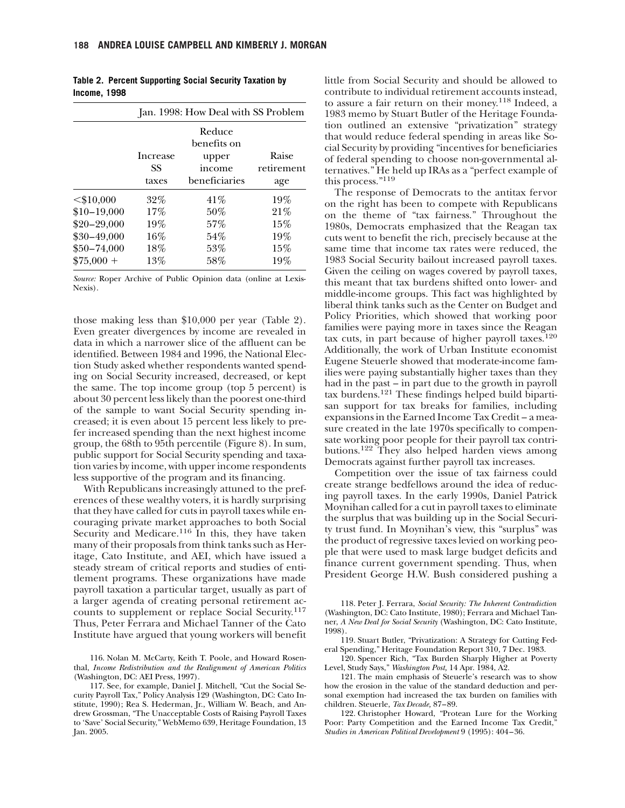|              |                         | Jan. 1998: How Deal with SS Problem                       |                            |
|--------------|-------------------------|-----------------------------------------------------------|----------------------------|
|              | Increase<br>SS<br>taxes | Reduce<br>benefits on<br>upper<br>income<br>beneficiaries | Raise<br>retirement<br>age |
| $<$ \$10.000 | $32\%$                  | 41%                                                       | 19%                        |
| $$10-19,000$ | 17%                     | $50\%$                                                    | 21%                        |
| $$20-29,000$ | $19\%$                  | 57%                                                       | 15%                        |
| $$30-49,000$ | $16\%$                  | 54%                                                       | 19%                        |
| $$50-74,000$ | $18\%$                  | 53%                                                       | $15\%$                     |
| $$75,000 +$  | $13\%$                  | 58%                                                       | $19\%$                     |

|              |  |  | Table 2. Percent Supporting Social Security Taxation by |
|--------------|--|--|---------------------------------------------------------|
| Income, 1998 |  |  |                                                         |

*Source:* Roper Archive of Public Opinion data (online at Lexis-Nexis).

those making less than \$10,000 per year (Table 2). Even greater divergences by income are revealed in data in which a narrower slice of the affluent can be identified. Between 1984 and 1996, the National Election Study asked whether respondents wanted spending on Social Security increased, decreased, or kept the same. The top income group (top 5 percent) is about 30 percent less likely than the poorest one-third of the sample to want Social Security spending increased; it is even about 15 percent less likely to prefer increased spending than the next highest income group, the 68th to 95th percentile (Figure 8). In sum, public support for Social Security spending and taxation varies by income, with upper income respondents less supportive of the program and its financing.

With Republicans increasingly attuned to the preferences of these wealthy voters, it is hardly surprising that they have called for cuts in payroll taxes while encouraging private market approaches to both Social Security and Medicare.<sup>116</sup> In this, they have taken many of their proposals from think tanks such as Heritage, Cato Institute, and AEI, which have issued a steady stream of critical reports and studies of entitlement programs. These organizations have made payroll taxation a particular target, usually as part of a larger agenda of creating personal retirement accounts to supplement or replace Social Security.117 Thus, Peter Ferrara and Michael Tanner of the Cato Institute have argued that young workers will benefit

116. Nolan M. McCarty, Keith T. Poole, and Howard Rosenthal, *Income Redistribution and the Realignment of American Politics* (Washington, DC: AEI Press, 1997).

little from Social Security and should be allowed to contribute to individual retirement accounts instead, to assure a fair return on their money.118 Indeed, a 1983 memo by Stuart Butler of the Heritage Foundation outlined an extensive "privatization" strategy that would reduce federal spending in areas like Social Security by providing "incentives for beneficiaries of federal spending to choose non-governmental alternatives." He held up IRAs as a "perfect example of this process."<sup>119</sup>

The response of Democrats to the antitax fervor on the right has been to compete with Republicans on the theme of "tax fairness." Throughout the 1980s, Democrats emphasized that the Reagan tax cuts went to benefit the rich, precisely because at the same time that income tax rates were reduced, the 1983 Social Security bailout increased payroll taxes. Given the ceiling on wages covered by payroll taxes, this meant that tax burdens shifted onto lower- and middle-income groups. This fact was highlighted by liberal think tanks such as the Center on Budget and Policy Priorities, which showed that working poor families were paying more in taxes since the Reagan tax cuts, in part because of higher payroll taxes.<sup>120</sup> Additionally, the work of Urban Institute economist Eugene Steuerle showed that moderate-income families were paying substantially higher taxes than they had in the past – in part due to the growth in payroll tax burdens.<sup>121</sup> These findings helped build bipartisan support for tax breaks for families, including expansions in the Earned Income Tax Credit – a measure created in the late 1970s specifically to compensate working poor people for their payroll tax contributions.122 They also helped harden views among Democrats against further payroll tax increases.

Competition over the issue of tax fairness could create strange bedfellows around the idea of reducing payroll taxes. In the early 1990s, Daniel Patrick Moynihan called for a cut in payroll taxes to eliminate the surplus that was building up in the Social Security trust fund. In Moynihan's view, this "surplus" was the product of regressive taxes levied on working people that were used to mask large budget deficits and finance current government spending. Thus, when President George H.W. Bush considered pushing a

119. Stuart Butler, "Privatization: A Strategy for Cutting Federal Spending," Heritage Foundation Report 310, 7 Dec. 1983.

120. Spencer Rich, "Tax Burden Sharply Higher at Poverty Level, Study Says," *Washington Post,* 14 Apr. 1984, A2.

121. The main emphasis of Steuerle's research was to show how the erosion in the value of the standard deduction and personal exemption had increased the tax burden on families with children. Steuerle, *Tax Decade,* 87–89.

122. Christopher Howard, "Protean Lure for the Working Poor: Party Competition and the Earned Income Tax Credit,' *Studies in American Political Development* 9 (1995): 404–36.

<sup>117.</sup> See, for example, Daniel J. Mitchell, "Cut the Social Security Payroll Tax," Policy Analysis 129 (Washington, DC: Cato Institute, 1990); Rea S. Hederman, Jr., William W. Beach, and Andrew Grossman, "The Unacceptable Costs of Raising Payroll Taxes to 'Save' Social Security," WebMemo 639, Heritage Foundation, 13 Jan. 2005.

<sup>118.</sup> Peter J. Ferrara, *Social Security: The Inherent Contradiction* (Washington, DC: Cato Institute, 1980); Ferrara and Michael Tanner, *A New Deal for Social Security* (Washington, DC: Cato Institute, 1998).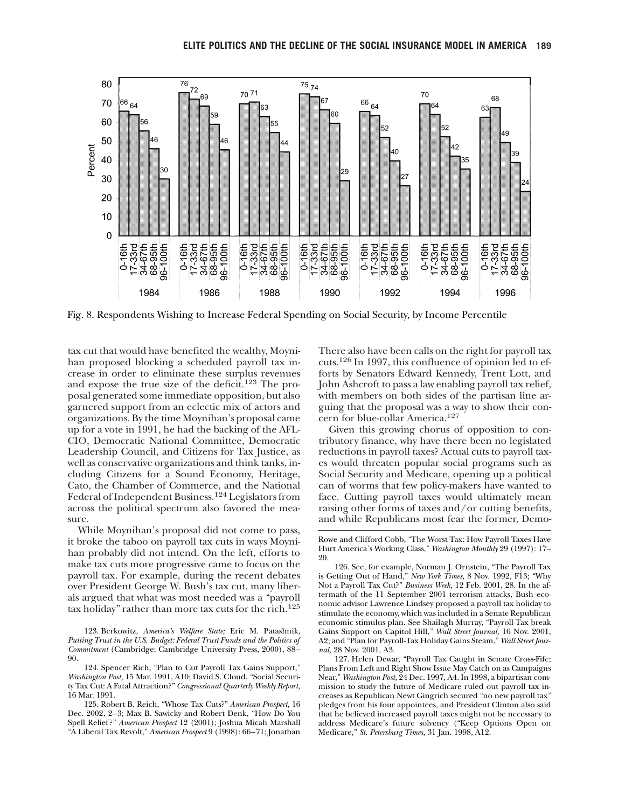

Fig. 8. Respondents Wishing to Increase Federal Spending on Social Security, by Income Percentile

tax cut that would have benefited the wealthy, Moynihan proposed blocking a scheduled payroll tax increase in order to eliminate these surplus revenues and expose the true size of the deficit.<sup>123</sup> The proposal generated some immediate opposition, but also garnered support from an eclectic mix of actors and organizations. By the time Moynihan's proposal came up for a vote in 1991, he had the backing of the AFL-CIO, Democratic National Committee, Democratic Leadership Council, and Citizens for Tax Justice, as well as conservative organizations and think tanks, including Citizens for a Sound Economy, Heritage, Cato, the Chamber of Commerce, and the National Federal of Independent Business.124 Legislators from across the political spectrum also favored the measure.

While Moynihan's proposal did not come to pass, it broke the taboo on payroll tax cuts in ways Moynihan probably did not intend. On the left, efforts to make tax cuts more progressive came to focus on the payroll tax. For example, during the recent debates over President George W. Bush's tax cut, many liberals argued that what was most needed was a "payroll tax holiday" rather than more tax cuts for the rich.125

123. Berkowitz, *America's Welfare State;* Eric M. Patashnik, *Putting Trust in the U.S. Budget: Federal Trust Funds and the Politics of Commitment* (Cambridge: Cambridge University Press, 2000), 88– 90.

There also have been calls on the right for payroll tax cuts.<sup>126</sup> In 1997, this confluence of opinion led to efforts by Senators Edward Kennedy, Trent Lott, and John Ashcroft to pass a law enabling payroll tax relief, with members on both sides of the partisan line arguing that the proposal was a way to show their concern for blue-collar America.127

Given this growing chorus of opposition to contributory finance, why have there been no legislated reductions in payroll taxes? Actual cuts to payroll taxes would threaten popular social programs such as Social Security and Medicare, opening up a political can of worms that few policy-makers have wanted to face. Cutting payroll taxes would ultimately mean raising other forms of taxes and/or cutting benefits, and while Republicans most fear the former, Demo-

127. Helen Dewar, "Payroll Tax Caught in Senate Cross-Fife; Plans From Left and Right Show Issue May Catch on as Campaigns Near," *Washington Post,* 24 Dec. 1997, A4. In 1998, a bipartisan commission to study the future of Medicare ruled out payroll tax increases as Republican Newt Gingrich secured "no new payroll tax" pledges from his four appointees, and President Clinton also said that he believed increased payroll taxes might not be necessary to address Medicare's future solvency ("Keep Options Open on Medicare," *St. Petersburg Times,* 31 Jan. 1998, A12.

<sup>124.</sup> Spencer Rich, "Plan to Cut Payroll Tax Gains Support," *Washington Post,* 15 Mar. 1991, A10; David S. Cloud, "Social Security Tax Cut: A Fatal Attraction?" *Congressional Quarterly Weekly Report,* 16 Mar. 1991.

<sup>125.</sup> Robert B. Reich, "Whose Tax Cuts?" *American Prospect,* 16 Dec. 2002, 2–3; Max B. Sawicky and Robert Denk, "How Do You Spell Relief ?" *American Prospect* 12 (2001); Joshua Micah Marshall "A Liberal Tax Revolt," *American Prospect* 9 (1998): 66–71; Jonathan

Rowe and Clifford Cobb, "The Worst Tax: How Payroll Taxes Have Hurt America's Working Class," *Washington Monthly* 29 (1997): 17– 20.

<sup>126.</sup> See, for example, Norman J. Ornstein, "The Payroll Tax is Getting Out of Hand," *New York Times,* 8 Nov. 1992, F13; "Why Not a Payroll Tax Cut?" *Business Week,* 12 Feb. 2001, 28. In the aftermath of the 11 September 2001 terrorism attacks, Bush economic advisor Lawrence Lindsey proposed a payroll tax holiday to stimulate the economy, which was included in a Senate Republican economic stimulus plan. See Shailagh Murray, "Payroll-Tax break Gains Support on Capitol Hill," *Wall Street Journal,* 16 Nov. 2001, A2; and "Plan for Payroll-Tax Holiday Gains Steam," *Wall Street Journal,* 28 Nov. 2001, A3.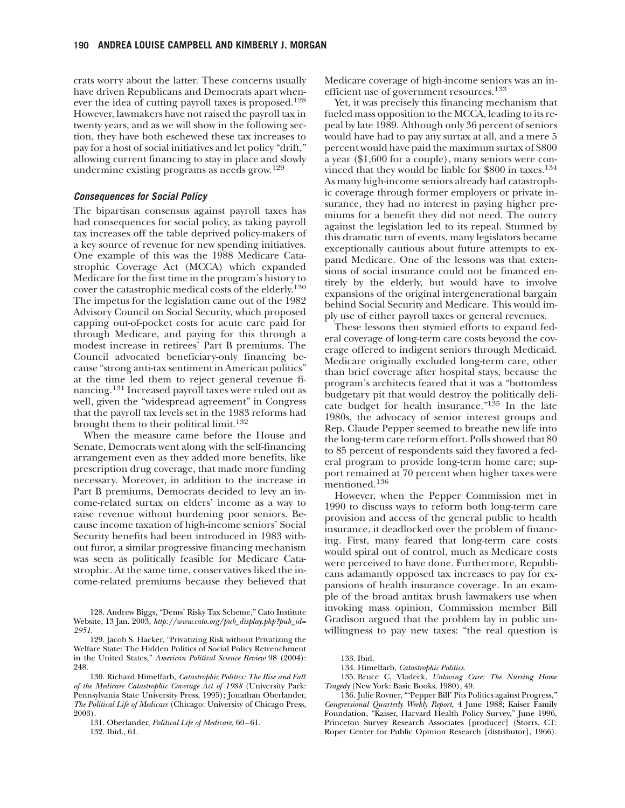crats worry about the latter. These concerns usually have driven Republicans and Democrats apart whenever the idea of cutting payroll taxes is proposed.<sup>128</sup> However, lawmakers have not raised the payroll tax in twenty years, and as we will show in the following section, they have both eschewed these tax increases to pay for a host of social initiatives and let policy "drift," allowing current financing to stay in place and slowly undermine existing programs as needs grow.129

#### *Consequences for Social Policy*

The bipartisan consensus against payroll taxes has had consequences for social policy, as taking payroll tax increases off the table deprived policy-makers of a key source of revenue for new spending initiatives. One example of this was the 1988 Medicare Catastrophic Coverage Act (MCCA) which expanded Medicare for the first time in the program's history to cover the catastrophic medical costs of the elderly.130 The impetus for the legislation came out of the 1982 Advisory Council on Social Security, which proposed capping out-of-pocket costs for acute care paid for through Medicare, and paying for this through a modest increase in retirees' Part B premiums. The Council advocated beneficiary-only financing because "strong anti-tax sentiment in American politics" at the time led them to reject general revenue financing.<sup>131</sup> Increased payroll taxes were ruled out as well, given the "widespread agreement" in Congress that the payroll tax levels set in the 1983 reforms had brought them to their political limit.<sup>132</sup>

When the measure came before the House and Senate, Democrats went along with the self-financing arrangement even as they added more benefits, like prescription drug coverage, that made more funding necessary. Moreover, in addition to the increase in Part B premiums, Democrats decided to levy an income-related surtax on elders' income as a way to raise revenue without burdening poor seniors. Because income taxation of high-income seniors' Social Security benefits had been introduced in 1983 without furor, a similar progressive financing mechanism was seen as politically feasible for Medicare Catastrophic. At the same time, conservatives liked the income-related premiums because they believed that

132. Ibid., 61.

Medicare coverage of high-income seniors was an inefficient use of government resources.<sup>133</sup>

Yet, it was precisely this financing mechanism that fueled mass opposition to the MCCA, leading to its repeal by late 1989. Although only 36 percent of seniors would have had to pay any surtax at all, and a mere 5 percent would have paid the maximum surtax of \$800 a year (\$1,600 for a couple), many seniors were convinced that they would be liable for \$800 in taxes.<sup>134</sup> As many high-income seniors already had catastrophic coverage through former employers or private insurance, they had no interest in paying higher premiums for a benefit they did not need. The outcry against the legislation led to its repeal. Stunned by this dramatic turn of events, many legislators became exceptionally cautious about future attempts to expand Medicare. One of the lessons was that extensions of social insurance could not be financed entirely by the elderly, but would have to involve expansions of the original intergenerational bargain behind Social Security and Medicare. This would imply use of either payroll taxes or general revenues.

These lessons then stymied efforts to expand federal coverage of long-term care costs beyond the coverage offered to indigent seniors through Medicaid. Medicare originally excluded long-term care, other than brief coverage after hospital stays, because the program's architects feared that it was a "bottomless budgetary pit that would destroy the politically delicate budget for health insurance."135 In the late 1980s, the advocacy of senior interest groups and Rep. Claude Pepper seemed to breathe new life into the long-term care reform effort. Polls showed that 80 to 85 percent of respondents said they favored a federal program to provide long-term home care; support remained at 70 percent when higher taxes were mentioned.<sup>136</sup>

However, when the Pepper Commission met in 1990 to discuss ways to reform both long-term care provision and access of the general public to health insurance, it deadlocked over the problem of financing. First, many feared that long-term care costs would spiral out of control, much as Medicare costs were perceived to have done. Furthermore, Republicans adamantly opposed tax increases to pay for expansions of health insurance coverage. In an example of the broad antitax brush lawmakers use when invoking mass opinion, Commission member Bill Gradison argued that the problem lay in public unwillingness to pay new taxes: "the real question is

<sup>128.</sup> Andrew Biggs, "Dems' Risky Tax Scheme," Cato Institute Website, 13 Jan. 2003, *http://www.cato.org/pub\_display.php?pub\_id= 2951.*

<sup>129.</sup> Jacob S. Hacker, "Privatizing Risk without Privatizing the Welfare State: The Hidden Politics of Social Policy Retrenchment in the United States," *American Political Science Review* 98 (2004): 248.

<sup>130.</sup> Richard Himelfarb, *Catastrophic Politics: The Rise and Fall of the Medicare Catastrophic Coverage Act of 1988* (University Park: Pennsylvania State University Press, 1995); Jonathan Oberlander, *The Political Life of Medicare* (Chicago: University of Chicago Press, 2003).

<sup>131.</sup> Oberlander, *Political Life of Medicare,* 60–61.

<sup>133.</sup> Ibid.

<sup>134.</sup> Himelfarb, *Catastrophic Politics.*

<sup>135.</sup> Bruce C. Vladeck, *Unloving Care: The Nursing Home Tragedy* (New York: Basic Books, 1980), 49.

<sup>136.</sup> Julie Rovner, "'Pepper Bill' Pits Politics against Progress," *Congressional Quarterly Weekly Report,* 4 June 1988; Kaiser Family Foundation, "Kaiser, Harvard Health Policy Survey," June 1996, Princeton Survey Research Associates [producer] (Storrs, CT: Roper Center for Public Opinion Research [distributor], 1966).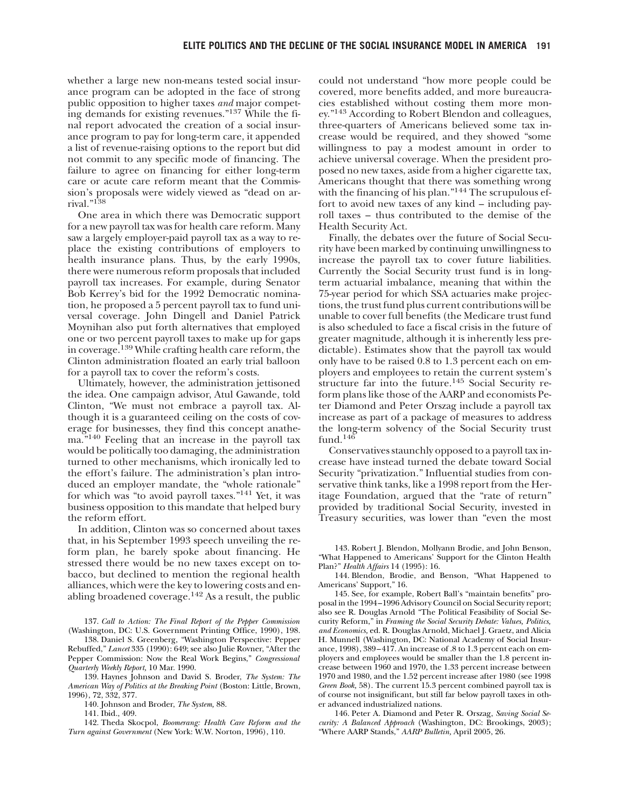whether a large new non-means tested social insurance program can be adopted in the face of strong public opposition to higher taxes *and* major competing demands for existing revenues."<sup>137</sup> While the final report advocated the creation of a social insurance program to pay for long-term care, it appended a list of revenue-raising options to the report but did not commit to any specific mode of financing. The failure to agree on financing for either long-term care or acute care reform meant that the Commission's proposals were widely viewed as "dead on arrival."<sup>138</sup>

One area in which there was Democratic support for a new payroll tax was for health care reform. Many saw a largely employer-paid payroll tax as a way to replace the existing contributions of employers to health insurance plans. Thus, by the early 1990s, there were numerous reform proposals that included payroll tax increases. For example, during Senator Bob Kerrey's bid for the 1992 Democratic nomination, he proposed a 5 percent payroll tax to fund universal coverage. John Dingell and Daniel Patrick Moynihan also put forth alternatives that employed one or two percent payroll taxes to make up for gaps in coverage.139 While crafting health care reform, the Clinton administration floated an early trial balloon for a payroll tax to cover the reform's costs.

Ultimately, however, the administration jettisoned the idea. One campaign advisor, Atul Gawande, told Clinton, "We must not embrace a payroll tax. Although it is a guaranteed ceiling on the costs of coverage for businesses, they find this concept anathema."<sup>140</sup> Feeling that an increase in the payroll tax would be politically too damaging, the administration turned to other mechanisms, which ironically led to the effort's failure. The administration's plan introduced an employer mandate, the "whole rationale" for which was "to avoid payroll taxes."<sup>141</sup> Yet, it was business opposition to this mandate that helped bury the reform effort.

In addition, Clinton was so concerned about taxes that, in his September 1993 speech unveiling the reform plan, he barely spoke about financing. He stressed there would be no new taxes except on tobacco, but declined to mention the regional health alliances, which were the key to lowering costs and enabling broadened coverage.142 As a result, the public

137. *Call to Action: The Final Report of the Pepper Commission* (Washington, DC: U.S. Government Printing Office, 1990), 198.

138. Daniel S. Greenberg, "Washington Perspective: Pepper Rebuffed," *Lancet* 335 (1990): 649; see also Julie Rovner, "After the Pepper Commission: Now the Real Work Begins," *Congressional Quarterly Weekly Report,* 10 Mar. 1990.

139. Haynes Johnson and David S. Broder, *The System: The American Way of Politics at the Breaking Point* (Boston: Little, Brown, 1996), 72, 332, 377.

141. Ibid., 409.

142. Theda Skocpol, *Boomerang: Health Care Reform and the Turn against Government* (New York: W.W. Norton, 1996), 110.

could not understand "how more people could be covered, more benefits added, and more bureaucracies established without costing them more money."<sup>143</sup> According to Robert Blendon and colleagues, three-quarters of Americans believed some tax increase would be required, and they showed "some willingness to pay a modest amount in order to achieve universal coverage. When the president proposed no new taxes, aside from a higher cigarette tax, Americans thought that there was something wrong with the financing of his plan."<sup>144</sup> The scrupulous effort to avoid new taxes of any kind – including payroll taxes – thus contributed to the demise of the Health Security Act.

Finally, the debates over the future of Social Security have been marked by continuing unwillingness to increase the payroll tax to cover future liabilities. Currently the Social Security trust fund is in longterm actuarial imbalance, meaning that within the 75-year period for which SSA actuaries make projections, the trust fund plus current contributions will be unable to cover full benefits (the Medicare trust fund is also scheduled to face a fiscal crisis in the future of greater magnitude, although it is inherently less predictable). Estimates show that the payroll tax would only have to be raised 0.8 to 1.3 percent each on employers and employees to retain the current system's structure far into the future.<sup>145</sup> Social Security reform plans like those of the AARP and economists Peter Diamond and Peter Orszag include a payroll tax increase as part of a package of measures to address the long-term solvency of the Social Security trust fund. $146$ 

Conservatives staunchly opposed to a payroll tax increase have instead turned the debate toward Social Security "privatization." Influential studies from conservative think tanks, like a 1998 report from the Heritage Foundation, argued that the "rate of return" provided by traditional Social Security, invested in Treasury securities, was lower than "even the most

143. Robert J. Blendon, Mollyann Brodie, and John Benson, "What Happened to Americans' Support for the Clinton Health Plan?" *Health Affairs* 14 (1995): 16.

144. Blendon, Brodie, and Benson, "What Happened to Americans' Support," 16.

145. See, for example, Robert Ball's "maintain benefits" proposal in the 1994–1996 Advisory Council on Social Security report; also see R. Douglas Arnold "The Political Feasibility of Social Security Reform," in *Framing the Social Security Debate: Values, Politics, and Economics,* ed. R. Douglas Arnold, Michael J. Graetz, and Alicia H. Munnell (Washington, DC: National Academy of Social Insurance, 1998), 389–417. An increase of .8 to 1.3 percent each on employers and employees would be smaller than the 1.8 percent increase between 1960 and 1970, the 1.33 percent increase between 1970 and 1980, and the 1.52 percent increase after 1980 (see 1998 *Green Book,* 58). The current 15.3 percent combined payroll tax is of course not insignificant, but still far below payroll taxes in other advanced industrialized nations.

146. Peter A. Diamond and Peter R. Orszag, *Saving Social Security: A Balanced Approach* (Washington, DC: Brookings, 2003); "Where AARP Stands," *AARP Bulletin,* April 2005, 26.

<sup>140.</sup> Johnson and Broder, *The System,* 88.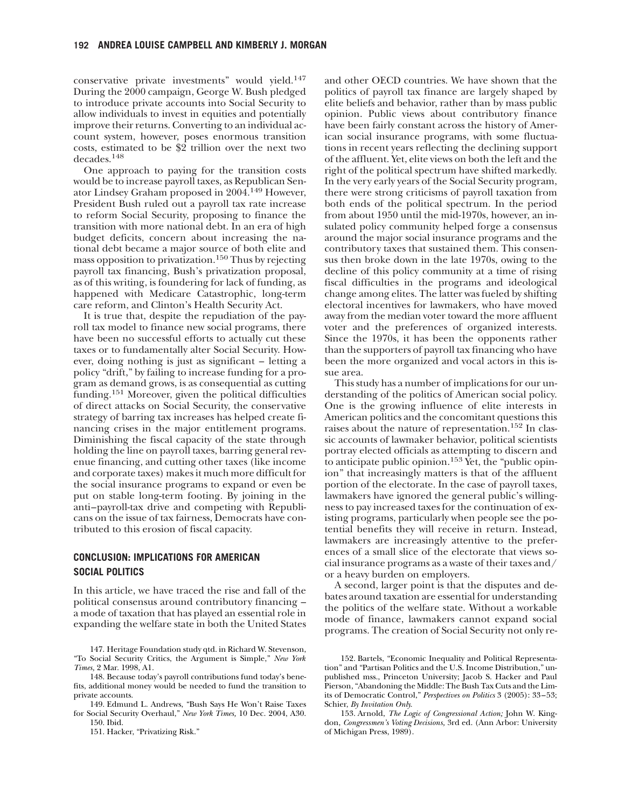conservative private investments" would yield.147 During the 2000 campaign, George W. Bush pledged to introduce private accounts into Social Security to allow individuals to invest in equities and potentially improve their returns. Converting to an individual account system, however, poses enormous transition costs, estimated to be \$2 trillion over the next two decades.148

One approach to paying for the transition costs would be to increase payroll taxes, as Republican Senator Lindsey Graham proposed in 2004.149 However, President Bush ruled out a payroll tax rate increase to reform Social Security, proposing to finance the transition with more national debt. In an era of high budget deficits, concern about increasing the national debt became a major source of both elite and mass opposition to privatization.<sup>150</sup> Thus by rejecting payroll tax financing, Bush's privatization proposal, as of this writing, is foundering for lack of funding, as happened with Medicare Catastrophic, long-term care reform, and Clinton's Health Security Act.

It is true that, despite the repudiation of the payroll tax model to finance new social programs, there have been no successful efforts to actually cut these taxes or to fundamentally alter Social Security. However, doing nothing is just as significant – letting a policy "drift," by failing to increase funding for a program as demand grows, is as consequential as cutting funding.151 Moreover, given the political difficulties of direct attacks on Social Security, the conservative strategy of barring tax increases has helped create financing crises in the major entitlement programs. Diminishing the fiscal capacity of the state through holding the line on payroll taxes, barring general revenue financing, and cutting other taxes (like income and corporate taxes) makes it much more difficult for the social insurance programs to expand or even be put on stable long-term footing. By joining in the anti–payroll-tax drive and competing with Republicans on the issue of tax fairness, Democrats have contributed to this erosion of fiscal capacity.

## **CONCLUSION: IMPLICATIONS FOR AMERICAN SOCIAL POLITICS**

In this article, we have traced the rise and fall of the political consensus around contributory financing – a mode of taxation that has played an essential role in expanding the welfare state in both the United States

151. Hacker, "Privatizing Risk."

and other OECD countries. We have shown that the politics of payroll tax finance are largely shaped by elite beliefs and behavior, rather than by mass public opinion. Public views about contributory finance have been fairly constant across the history of American social insurance programs, with some fluctuations in recent years reflecting the declining support of the affluent. Yet, elite views on both the left and the right of the political spectrum have shifted markedly. In the very early years of the Social Security program, there were strong criticisms of payroll taxation from both ends of the political spectrum. In the period from about 1950 until the mid-1970s, however, an insulated policy community helped forge a consensus around the major social insurance programs and the contributory taxes that sustained them. This consensus then broke down in the late 1970s, owing to the decline of this policy community at a time of rising fiscal difficulties in the programs and ideological change among elites. The latter was fueled by shifting electoral incentives for lawmakers, who have moved away from the median voter toward the more affluent voter and the preferences of organized interests. Since the 1970s, it has been the opponents rather than the supporters of payroll tax financing who have been the more organized and vocal actors in this issue area.

This study has a number of implications for our understanding of the politics of American social policy. One is the growing influence of elite interests in American politics and the concomitant questions this raises about the nature of representation.<sup>152</sup> In classic accounts of lawmaker behavior, political scientists portray elected officials as attempting to discern and to anticipate public opinion.<sup>153</sup> Yet, the "public opinion" that increasingly matters is that of the affluent portion of the electorate. In the case of payroll taxes, lawmakers have ignored the general public's willingness to pay increased taxes for the continuation of existing programs, particularly when people see the potential benefits they will receive in return. Instead, lawmakers are increasingly attentive to the preferences of a small slice of the electorate that views social insurance programs as a waste of their taxes and/ or a heavy burden on employers.

A second, larger point is that the disputes and debates around taxation are essential for understanding the politics of the welfare state. Without a workable mode of finance, lawmakers cannot expand social programs. The creation of Social Security not only re-

<sup>147.</sup> Heritage Foundation study qtd. in Richard W. Stevenson, "To Social Security Critics, the Argument is Simple," *New York Times,* 2 Mar. 1998, A1.

<sup>148.</sup> Because today's payroll contributions fund today's benefits, additional money would be needed to fund the transition to private accounts.

<sup>149.</sup> Edmund L. Andrews, "Bush Says He Won't Raise Taxes for Social Security Overhaul," *New York Times,* 10 Dec. 2004, A30. 150. Ibid.

<sup>152.</sup> Bartels, "Economic Inequality and Political Representation" and "Partisan Politics and the U.S. Income Distribution," unpublished mss., Princeton University; Jacob S. Hacker and Paul Pierson, "Abandoning the Middle: The Bush Tax Cuts and the Limits of Democratic Control," *Perspectives on Politics* 3 (2005): 33–53; Schier, *By Invitation Only.*

<sup>153.</sup> Arnold, *The Logic of Congressional Action;* John W. Kingdon, *Congressmen's Voting Decisions,* 3rd ed. (Ann Arbor: University of Michigan Press, 1989).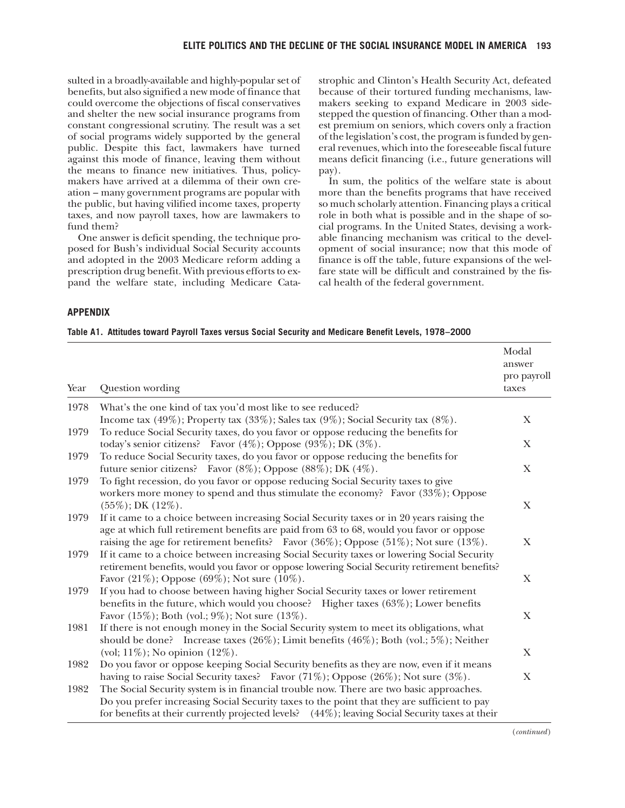## **ELITE POLITICS AND THE DECLINE OF THE SOCIAL INSURANCE MODEL IN AMERICA 193**

sulted in a broadly-available and highly-popular set of benefits, but also signified a new mode of finance that could overcome the objections of fiscal conservatives and shelter the new social insurance programs from constant congressional scrutiny. The result was a set of social programs widely supported by the general public. Despite this fact, lawmakers have turned against this mode of finance, leaving them without the means to finance new initiatives. Thus, policymakers have arrived at a dilemma of their own creation – many government programs are popular with the public, but having vilified income taxes, property taxes, and now payroll taxes, how are lawmakers to fund them?

One answer is deficit spending, the technique proposed for Bush's individual Social Security accounts and adopted in the 2003 Medicare reform adding a prescription drug benefit. With previous efforts to expand the welfare state, including Medicare Catastrophic and Clinton's Health Security Act, defeated because of their tortured funding mechanisms, lawmakers seeking to expand Medicare in 2003 sidestepped the question of financing. Other than a modest premium on seniors, which covers only a fraction of the legislation's cost, the program is funded by general revenues, which into the foreseeable fiscal future means deficit financing (i.e., future generations will pay).

In sum, the politics of the welfare state is about more than the benefits programs that have received so much scholarly attention. Financing plays a critical role in both what is possible and in the shape of social programs. In the United States, devising a workable financing mechanism was critical to the development of social insurance; now that this mode of finance is off the table, future expansions of the welfare state will be difficult and constrained by the fiscal health of the federal government.

#### **APPENDIX**

| Table A1. Attitudes toward Payroll Taxes versus Social Security and Medicare Benefit Levels, 1978–2000 |  |  |  |  |  |  |
|--------------------------------------------------------------------------------------------------------|--|--|--|--|--|--|
|--------------------------------------------------------------------------------------------------------|--|--|--|--|--|--|

| Year | Question wording                                                                                | Modal<br>answer<br>pro payroll<br>taxes |
|------|-------------------------------------------------------------------------------------------------|-----------------------------------------|
|      |                                                                                                 |                                         |
| 1978 | What's the one kind of tax you'd most like to see reduced?                                      |                                         |
|      | Income tax (49%); Property tax (33%); Sales tax (9%); Social Security tax (8%).                 | X                                       |
| 1979 | To reduce Social Security taxes, do you favor or oppose reducing the benefits for               |                                         |
|      | today's senior citizens? Favor (4%); Oppose (93%); DK (3%).                                     | X                                       |
| 1979 | To reduce Social Security taxes, do you favor or oppose reducing the benefits for               |                                         |
|      | future senior citizens? Favor $(8\%)$ ; Oppose $(88\%)$ ; DK $(4\%)$ .                          | $\boldsymbol{\mathrm{X}}$               |
| 1979 | To fight recession, do you favor or oppose reducing Social Security taxes to give               |                                         |
|      | workers more money to spend and thus stimulate the economy? Favor (33%); Oppose                 |                                         |
|      | $(55\%); \text{DK } (12\%).$                                                                    | X                                       |
| 1979 | If it came to a choice between increasing Social Security taxes or in 20 years raising the      |                                         |
|      | age at which full retirement benefits are paid from 63 to 68, would you favor or oppose         |                                         |
|      | raising the age for retirement benefits? Favor $(36\%)$ ; Oppose $(51\%)$ ; Not sure $(13\%)$ . | X                                       |
| 1979 | If it came to a choice between increasing Social Security taxes or lowering Social Security     |                                         |
|      | retirement benefits, would you favor or oppose lowering Social Security retirement benefits?    |                                         |
|      | Favor $(21\%)$ ; Oppose $(69\%)$ ; Not sure $(10\%)$ .                                          | X                                       |
| 1979 | If you had to choose between having higher Social Security taxes or lower retirement            |                                         |
|      | benefits in the future, which would you choose? Higher taxes (63%); Lower benefits              |                                         |
|      | Favor $(15\%)$ ; Both (vol.; 9%); Not sure $(13\%)$ .                                           | X                                       |
| 1981 | If there is not enough money in the Social Security system to meet its obligations, what        |                                         |
|      | should be done? Increase taxes $(26\%)$ ; Limit benefits $(46\%)$ ; Both (vol.; 5%); Neither    |                                         |
|      | (vol; $11\%$ ); No opinion (12%).                                                               | X                                       |
| 1982 | Do you favor or oppose keeping Social Security benefits as they are now, even if it means       |                                         |
|      | having to raise Social Security taxes? Favor $(71\%)$ ; Oppose $(26\%)$ ; Not sure $(3\%)$ .    | X                                       |
| 1982 | The Social Security system is in financial trouble now. There are two basic approaches.         |                                         |
|      | Do you prefer increasing Social Security taxes to the point that they are sufficient to pay     |                                         |
|      | for benefits at their currently projected levels? (44%); leaving Social Security taxes at their |                                         |

(*continued*)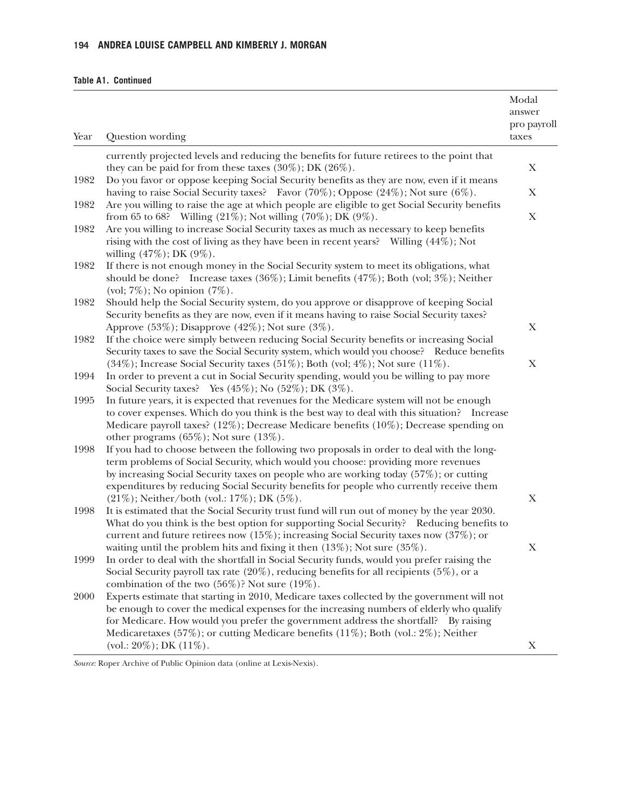|      |                                                                                                                                                                                                                                                                                                                                                                      | Modal<br>answer<br>pro payroll |
|------|----------------------------------------------------------------------------------------------------------------------------------------------------------------------------------------------------------------------------------------------------------------------------------------------------------------------------------------------------------------------|--------------------------------|
| Year | Question wording                                                                                                                                                                                                                                                                                                                                                     | taxes                          |
|      | currently projected levels and reducing the benefits for future retirees to the point that<br>they can be paid for from these taxes $(30\%)$ ; DK $(26\%)$ .                                                                                                                                                                                                         | $\boldsymbol{\mathrm{X}}$      |
| 1982 | Do you favor or oppose keeping Social Security benefits as they are now, even if it means                                                                                                                                                                                                                                                                            |                                |
| 1982 | having to raise Social Security taxes? Favor $(70\%)$ ; Oppose $(24\%)$ ; Not sure $(6\%)$ .<br>Are you willing to raise the age at which people are eligible to get Social Security benefits                                                                                                                                                                        | X                              |
|      | from 65 to 68? Willing $(21\%)$ ; Not willing $(70\%)$ ; DK $(9\%)$ .                                                                                                                                                                                                                                                                                                | $\boldsymbol{\mathrm{X}}$      |
| 1982 | Are you willing to increase Social Security taxes as much as necessary to keep benefits<br>rising with the cost of living as they have been in recent years? Willing (44%); Not<br>willing $(47\%)$ ; DK $(9\%)$ .                                                                                                                                                   |                                |
| 1982 | If there is not enough money in the Social Security system to meet its obligations, what<br>should be done? Increase taxes $(36\%)$ ; Limit benefits $(47\%)$ ; Both (vol; $3\%$ ); Neither<br>(vol; $7\%)$ ; No opinion $(7\%)$ .                                                                                                                                   |                                |
| 1982 | Should help the Social Security system, do you approve or disapprove of keeping Social<br>Security benefits as they are now, even if it means having to raise Social Security taxes?<br>Approve $(53\%)$ ; Disapprove $(42\%)$ ; Not sure $(3\%)$ .                                                                                                                  | X                              |
| 1982 | If the choice were simply between reducing Social Security benefits or increasing Social<br>Security taxes to save the Social Security system, which would you choose? Reduce benefits                                                                                                                                                                               |                                |
| 1994 | $(34\%)$ ; Increase Social Security taxes $(51\%)$ ; Both (vol; 4%); Not sure $(11\%)$ .<br>In order to prevent a cut in Social Security spending, would you be willing to pay more<br>Social Security taxes? Yes (45%); No (52%); DK (3%).                                                                                                                          | X                              |
| 1995 | In future years, it is expected that revenues for the Medicare system will not be enough<br>to cover expenses. Which do you think is the best way to deal with this situation? Increase<br>Medicare payroll taxes? $(12\%)$ ; Decrease Medicare benefits $(10\%)$ ; Decrease spending on<br>other programs $(65\%)$ ; Not sure $(13\%)$ .                            |                                |
| 1998 | If you had to choose between the following two proposals in order to deal with the long-<br>term problems of Social Security, which would you choose: providing more revenues<br>by increasing Social Security taxes on people who are working today (57%); or cutting<br>expenditures by reducing Social Security benefits for people who currently receive them    |                                |
| 1998 | $(21\%)$ ; Neither/both (vol.: 17%); DK (5%).<br>It is estimated that the Social Security trust fund will run out of money by the year 2030.<br>What do you think is the best option for supporting Social Security? Reducing benefits to<br>current and future retirees now $(15\%)$ ; increasing Social Security taxes now $(37\%)$ ; or                           | X                              |
| 1999 | waiting until the problem hits and fixing it then $(13\%)$ ; Not sure $(35\%)$ .<br>In order to deal with the shortfall in Social Security funds, would you prefer raising the<br>Social Security payroll tax rate $(20\%)$ , reducing benefits for all recipients $(5\%)$ , or a<br>combination of the two $(56\%)$ ? Not sure $(19\%)$ .                           | X                              |
| 2000 | Experts estimate that starting in 2010, Medicare taxes collected by the government will not<br>be enough to cover the medical expenses for the increasing numbers of elderly who qualify<br>for Medicare. How would you prefer the government address the shortfall? By raising<br>Medicaretaxes (57%); or cutting Medicare benefits (11%); Both (vol.: 2%); Neither |                                |
|      | $\left(\text{vol.}: 20\%\right); \text{DK } (11\%).$                                                                                                                                                                                                                                                                                                                 | X                              |

*Source:* Roper Archive of Public Opinion data (online at Lexis-Nexis).